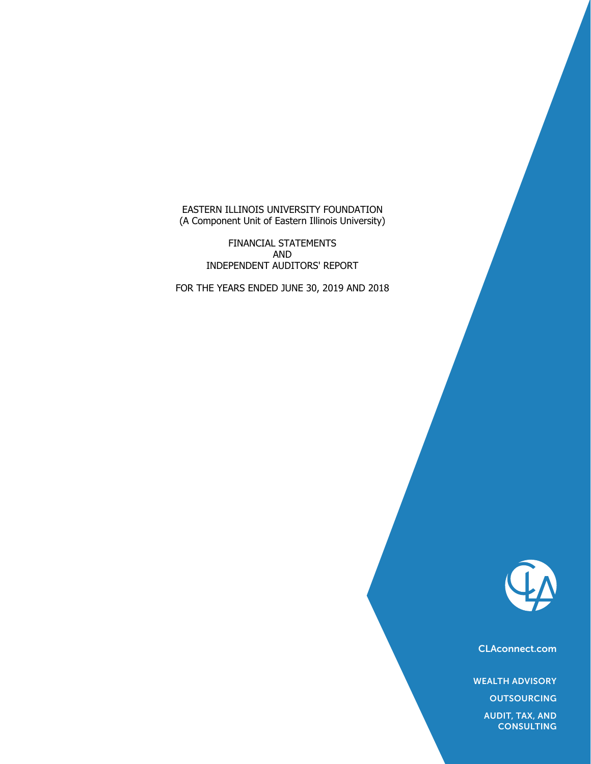EASTERN ILLINOIS UNIVERSITY FOUNDATION (A Component Unit of Eastern Illinois University)

> AND INDEPENDENT AUDITORS' REPORT FINANCIAL STATEMENTS

FOR THE YEARS ENDED JUNE 30, 2019 AND 2018



CLAconnect.com

WEALTH ADVISORY

**OUTSOURCING** 

AUDIT, TAX, AND **CONSULTING**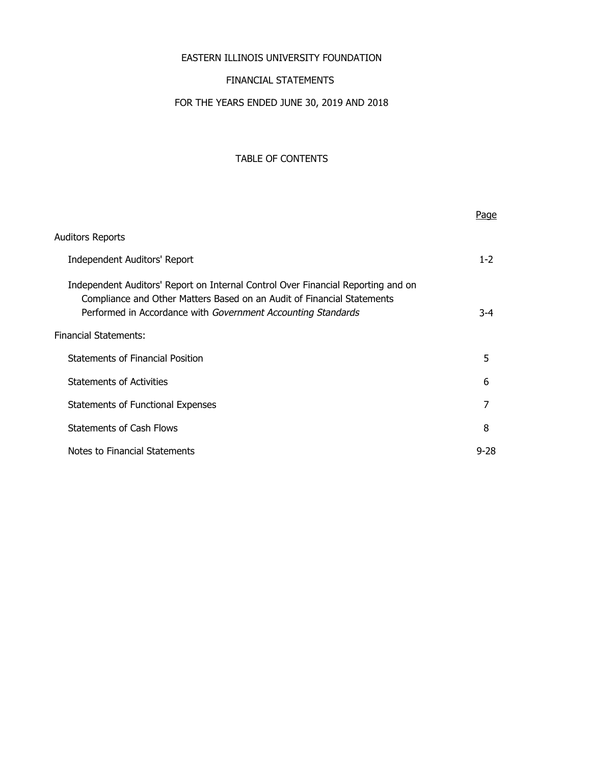# FINANCIAL STATEMENTS

# FOR THE YEARS ENDED JUNE 30, 2019 AND 2018

# TABLE OF CONTENTS

|                                                                                                                                                                                                                            | Page     |
|----------------------------------------------------------------------------------------------------------------------------------------------------------------------------------------------------------------------------|----------|
| <b>Auditors Reports</b>                                                                                                                                                                                                    |          |
| Independent Auditors' Report                                                                                                                                                                                               | $1 - 2$  |
| Independent Auditors' Report on Internal Control Over Financial Reporting and on<br>Compliance and Other Matters Based on an Audit of Financial Statements<br>Performed in Accordance with Government Accounting Standards | $3-4$    |
| <b>Financial Statements:</b>                                                                                                                                                                                               |          |
| <b>Statements of Financial Position</b>                                                                                                                                                                                    | 5        |
| <b>Statements of Activities</b>                                                                                                                                                                                            | 6        |
| Statements of Functional Expenses                                                                                                                                                                                          | 7        |
| <b>Statements of Cash Flows</b>                                                                                                                                                                                            | 8        |
| Notes to Financial Statements                                                                                                                                                                                              | $9 - 28$ |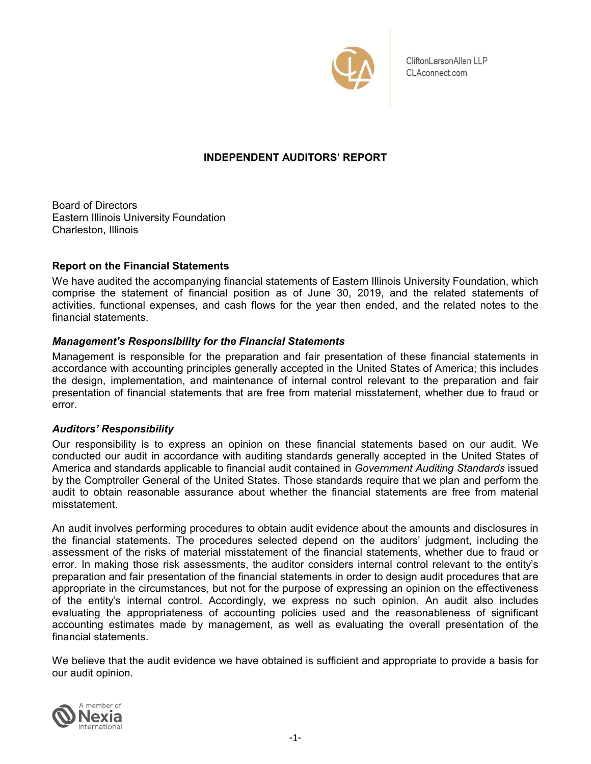

CliftonLarsonAllen LLP CLAconnect.com

# **INDEPENDENT AUDITORS' REPORT**

Board of Directors Eastern Illinois University Foundation Charleston, Illinois

# **Report on the Financial Statements**

We have audited the accompanying financial statements of Eastern Illinois University Foundation, which comprise the statement of financial position as of June 30, 2019, and the related statements of activities, functional expenses, and cash flows for the year then ended, and the related notes to the financial statements.

# *Management's Responsibility for the Financial Statements*

Management is responsible for the preparation and fair presentation of these financial statements in accordance with accounting principles generally accepted in the United States of America; this includes the design, implementation, and maintenance of internal control relevant to the preparation and fair presentation of financial statements that are free from material misstatement, whether due to fraud or error.

# *Auditors' Responsibility*

Our responsibility is to express an opinion on these financial statements based on our audit. We conducted our audit in accordance with auditing standards generally accepted in the United States of America and standards applicable to financial audit contained in *Government Auditing Standards* issued by the Comptroller General of the United States. Those standards require that we plan and perform the audit to obtain reasonable assurance about whether the financial statements are free from material misstatement.

An audit involves performing procedures to obtain audit evidence about the amounts and disclosures in the financial statements. The procedures selected depend on the auditors' judgment, including the assessment of the risks of material misstatement of the financial statements, whether due to fraud or error. In making those risk assessments, the auditor considers internal control relevant to the entity's preparation and fair presentation of the financial statements in order to design audit procedures that are appropriate in the circumstances, but not for the purpose of expressing an opinion on the effectiveness of the entity's internal control. Accordingly, we express no such opinion. An audit also includes evaluating the appropriateness of accounting policies used and the reasonableness of significant accounting estimates made by management, as well as evaluating the overall presentation of the financial statements.

We believe that the audit evidence we have obtained is sufficient and appropriate to provide a basis for our audit opinion.

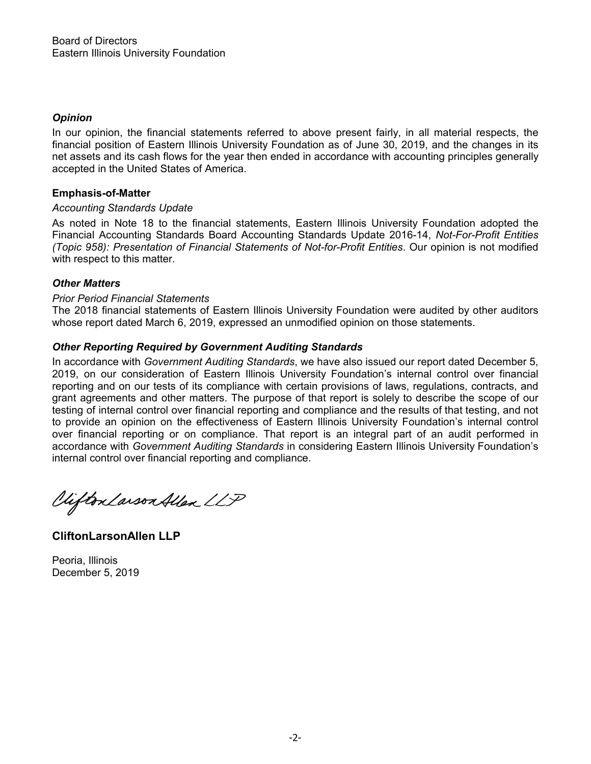# *Opinion*

In our opinion, the financial statements referred to above present fairly, in all material respects, the financial position of Eastern Illinois University Foundation as of June 30, 2019, and the changes in its net assets and its cash flows for the year then ended in accordance with accounting principles generally accepted in the United States of America.

# **Emphasis-of-Matter**

# *Accounting Standards Update*

As noted in Note 18 to the financial statements, Eastern Illinois University Foundation adopted the Financial Accounting Standards Board Accounting Standards Update 2016-14, *Not-For-Profit Entities (Topic 958): Presentation of Financial Statements of Not-for-Profit Entities*. Our opinion is not modified with respect to this matter.

# *Other Matters*

# *Prior Period Financial Statements*

The 2018 financial statements of Eastern Illinois University Foundation were audited by other auditors whose report dated March 6, 2019, expressed an unmodified opinion on those statements.

# *Other Reporting Required by Government Auditing Standards*

In accordance with *Government Auditing Standards*, we have also issued our report dated December 5, 2019, on our consideration of Eastern Illinois University Foundation's internal control over financial reporting and on our tests of its compliance with certain provisions of laws, regulations, contracts, and grant agreements and other matters. The purpose of that report is solely to describe the scope of our testing of internal control over financial reporting and compliance and the results of that testing, and not to provide an opinion on the effectiveness of Eastern Illinois University Foundation's internal control over financial reporting or on compliance. That report is an integral part of an audit performed in accordance with *Government Auditing Standards* in considering Eastern Illinois University Foundation's internal control over financial reporting and compliance.

Vifton Larson Allen LLP

**CliftonLarsonAllen LLP**

Peoria, Illinois December 5, 2019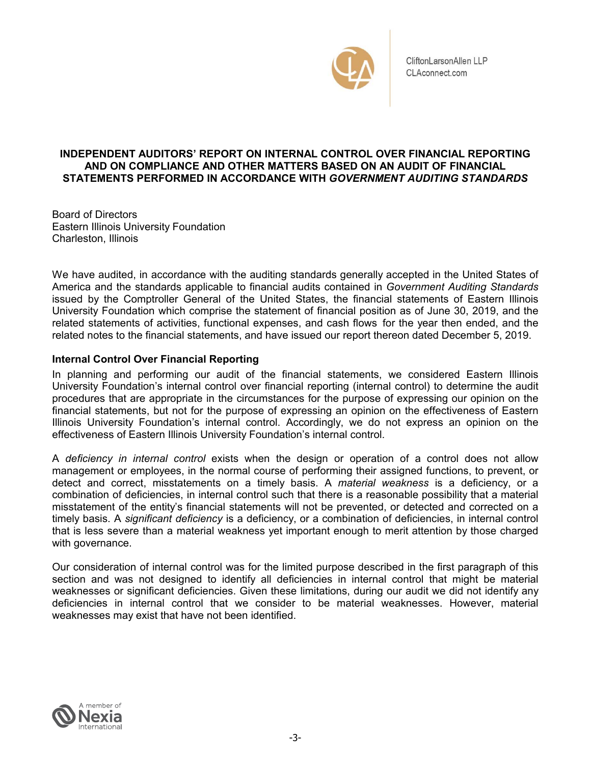

CliftonLarsonAllen LLP CLAconnect.com

# **INDEPENDENT AUDITORS' REPORT ON INTERNAL CONTROL OVER FINANCIAL REPORTING AND ON COMPLIANCE AND OTHER MATTERS BASED ON AN AUDIT OF FINANCIAL STATEMENTS PERFORMED IN ACCORDANCE WITH** *GOVERNMENT AUDITING STANDARDS*

Board of Directors Eastern Illinois University Foundation Charleston, Illinois

We have audited, in accordance with the auditing standards generally accepted in the United States of America and the standards applicable to financial audits contained in *Government Auditing Standards* issued by the Comptroller General of the United States, the financial statements of Eastern Illinois University Foundation which comprise the statement of financial position as of June 30, 2019, and the related statements of activities, functional expenses, and cash flows for the year then ended, and the related notes to the financial statements, and have issued our report thereon dated December 5, 2019.

# **Internal Control Over Financial Reporting**

In planning and performing our audit of the financial statements, we considered Eastern Illinois University Foundation's internal control over financial reporting (internal control) to determine the audit procedures that are appropriate in the circumstances for the purpose of expressing our opinion on the financial statements, but not for the purpose of expressing an opinion on the effectiveness of Eastern Illinois University Foundation's internal control. Accordingly, we do not express an opinion on the effectiveness of Eastern Illinois University Foundation's internal control.

A *deficiency in internal control* exists when the design or operation of a control does not allow management or employees, in the normal course of performing their assigned functions, to prevent, or detect and correct, misstatements on a timely basis. A *material weakness* is a deficiency, or a combination of deficiencies, in internal control such that there is a reasonable possibility that a material misstatement of the entity's financial statements will not be prevented, or detected and corrected on a timely basis. A *significant deficiency* is a deficiency, or a combination of deficiencies, in internal control that is less severe than a material weakness yet important enough to merit attention by those charged with governance.

Our consideration of internal control was for the limited purpose described in the first paragraph of this section and was not designed to identify all deficiencies in internal control that might be material weaknesses or significant deficiencies. Given these limitations, during our audit we did not identify any deficiencies in internal control that we consider to be material weaknesses. However, material weaknesses may exist that have not been identified.

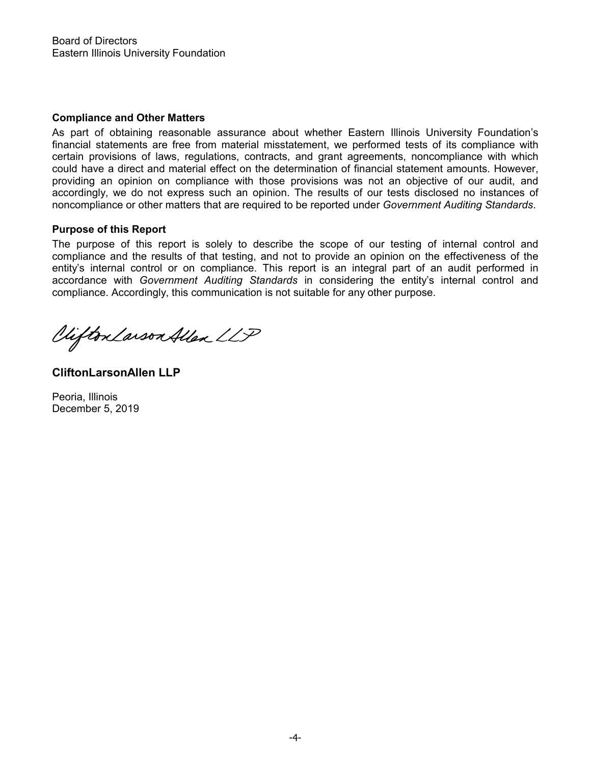## **Compliance and Other Matters**

As part of obtaining reasonable assurance about whether Eastern Illinois University Foundation's financial statements are free from material misstatement, we performed tests of its compliance with certain provisions of laws, regulations, contracts, and grant agreements, noncompliance with which could have a direct and material effect on the determination of financial statement amounts. However, providing an opinion on compliance with those provisions was not an objective of our audit, and accordingly, we do not express such an opinion. The results of our tests disclosed no instances of noncompliance or other matters that are required to be reported under *Government Auditing Standards*.

# **Purpose of this Report**

The purpose of this report is solely to describe the scope of our testing of internal control and compliance and the results of that testing, and not to provide an opinion on the effectiveness of the entity's internal control or on compliance. This report is an integral part of an audit performed in accordance with *Government Auditing Standards* in considering the entity's internal control and compliance. Accordingly , this communication is not suitable for any other purpose.

Viifton Larson Allen LLP

**CliftonLarsonAllen LLP**

Peoria, Illinois December 5, 2019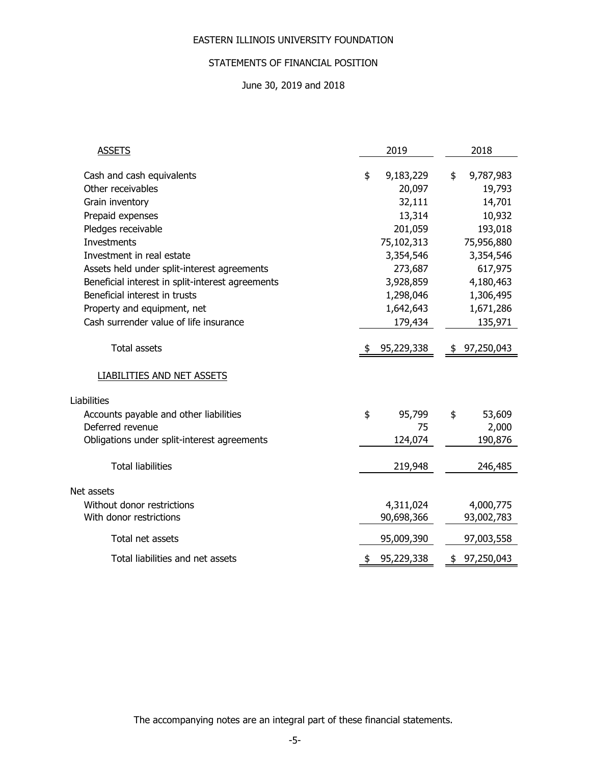# STATEMENTS OF FINANCIAL POSITION

# June 30, 2019 and 2018

| <b>ASSETS</b>                                    | 2019             | 2018 |            |
|--------------------------------------------------|------------------|------|------------|
|                                                  |                  |      |            |
| Cash and cash equivalents                        | \$<br>9,183,229  | \$   | 9,787,983  |
| Other receivables                                | 20,097           |      | 19,793     |
| Grain inventory                                  | 32,111           |      | 14,701     |
| Prepaid expenses                                 | 13,314           |      | 10,932     |
| Pledges receivable                               | 201,059          |      | 193,018    |
| <b>Investments</b>                               | 75,102,313       |      | 75,956,880 |
| Investment in real estate                        | 3,354,546        |      | 3,354,546  |
| Assets held under split-interest agreements      | 273,687          |      | 617,975    |
| Beneficial interest in split-interest agreements | 3,928,859        |      | 4,180,463  |
| Beneficial interest in trusts                    | 1,298,046        |      | 1,306,495  |
| Property and equipment, net                      | 1,642,643        |      | 1,671,286  |
| Cash surrender value of life insurance           | 179,434          |      | 135,971    |
|                                                  |                  |      |            |
| <b>Total assets</b>                              | 95,229,338       | \$   | 97,250,043 |
| <b>LIABILITIES AND NET ASSETS</b>                |                  |      |            |
| Liabilities                                      |                  |      |            |
| Accounts payable and other liabilities           | \$<br>95,799     | \$   | 53,609     |
| Deferred revenue                                 | 75               |      | 2,000      |
| Obligations under split-interest agreements      | 124,074          |      | 190,876    |
| <b>Total liabilities</b>                         | 219,948          |      | 246,485    |
|                                                  |                  |      |            |
| Net assets                                       |                  |      |            |
| Without donor restrictions                       | 4,311,024        |      | 4,000,775  |
| With donor restrictions                          | 90,698,366       |      | 93,002,783 |
| Total net assets                                 | 95,009,390       |      | 97,003,558 |
| Total liabilities and net assets                 | \$<br>95,229,338 | \$   | 97,250,043 |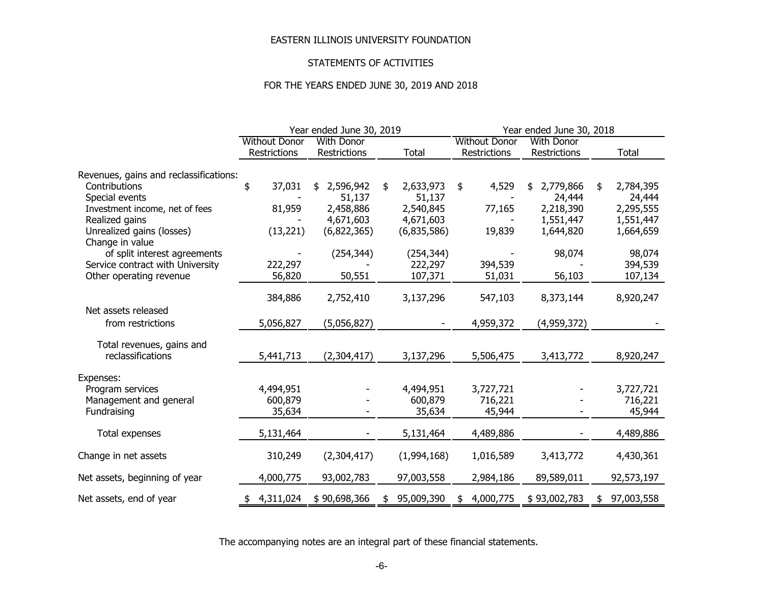# STATEMENTS OF ACTIVITIES

# FOR THE YEARS ENDED JUNE 30, 2019 AND 2018

|                                        |                      | Year ended June 30, 2019 |                  | Year ended June 30, 2018 |                   |                             |  |  |
|----------------------------------------|----------------------|--------------------------|------------------|--------------------------|-------------------|-----------------------------|--|--|
|                                        | <b>Without Donor</b> | <b>With Donor</b>        |                  | <b>Without Donor</b>     | <b>With Donor</b> |                             |  |  |
|                                        | <b>Restrictions</b>  | <b>Restrictions</b>      | Total            | <b>Restrictions</b>      | Restrictions      | Total                       |  |  |
| Revenues, gains and reclassifications: |                      |                          |                  |                          |                   |                             |  |  |
| Contributions                          | \$<br>37,031         | 2,596,942<br>\$          | 2,633,973<br>\$  | 4,529<br>\$              | 2,779,866<br>\$   | 2,784,395<br>\$             |  |  |
| Special events                         |                      | 51,137                   | 51,137           |                          | 24,444            | 24,444                      |  |  |
| Investment income, net of fees         | 81,959               | 2,458,886                | 2,540,845        | 77,165                   | 2,218,390         | 2,295,555                   |  |  |
| Realized gains                         |                      | 4,671,603                | 4,671,603        |                          | 1,551,447         | 1,551,447                   |  |  |
| Unrealized gains (losses)              | (13, 221)            | (6,822,365)              | (6,835,586)      | 19,839                   | 1,644,820         | 1,664,659                   |  |  |
| Change in value                        |                      |                          |                  |                          |                   |                             |  |  |
| of split interest agreements           |                      | (254, 344)               | (254, 344)       |                          | 98,074            | 98,074                      |  |  |
| Service contract with University       | 222,297              |                          | 222,297          | 394,539                  |                   | 394,539                     |  |  |
| Other operating revenue                | 56,820               | 50,551                   | 107,371          | 51,031                   | 56,103            | 107,134                     |  |  |
|                                        |                      |                          |                  |                          |                   |                             |  |  |
|                                        | 384,886              | 2,752,410                | 3,137,296        | 547,103                  | 8,373,144         | 8,920,247                   |  |  |
| Net assets released                    |                      |                          |                  |                          |                   |                             |  |  |
| from restrictions                      | 5,056,827            | (5,056,827)              |                  | 4,959,372                | (4,959,372)       |                             |  |  |
| Total revenues, gains and              |                      |                          |                  |                          |                   |                             |  |  |
| reclassifications                      | 5,441,713            | (2,304,417)              | 3,137,296        | 5,506,475                | 3,413,772         | 8,920,247                   |  |  |
|                                        |                      |                          |                  |                          |                   |                             |  |  |
| Expenses:                              |                      |                          |                  |                          |                   |                             |  |  |
| Program services                       | 4,494,951            |                          | 4,494,951        | 3,727,721                |                   | 3,727,721                   |  |  |
| Management and general                 | 600,879              |                          | 600,879          | 716,221                  |                   | 716,221                     |  |  |
| Fundraising                            | 35,634               |                          | 35,634           | 45,944                   |                   | 45,944                      |  |  |
|                                        | 5,131,464            |                          |                  | 4,489,886                |                   | 4,489,886                   |  |  |
| Total expenses                         |                      |                          | 5,131,464        |                          |                   |                             |  |  |
| Change in net assets                   | 310,249              | (2,304,417)              | (1,994,168)      | 1,016,589                | 3,413,772         | 4,430,361                   |  |  |
| Net assets, beginning of year          | 4,000,775            | 93,002,783               | 97,003,558       | 2,984,186                | 89,589,011        | 92,573,197                  |  |  |
| Net assets, end of year                | \$4,311,024          | \$90,698,366             | 95,009,390<br>\$ | 4,000,775<br>\$          | \$93,002,783      | 97,003,558<br>$\frac{1}{2}$ |  |  |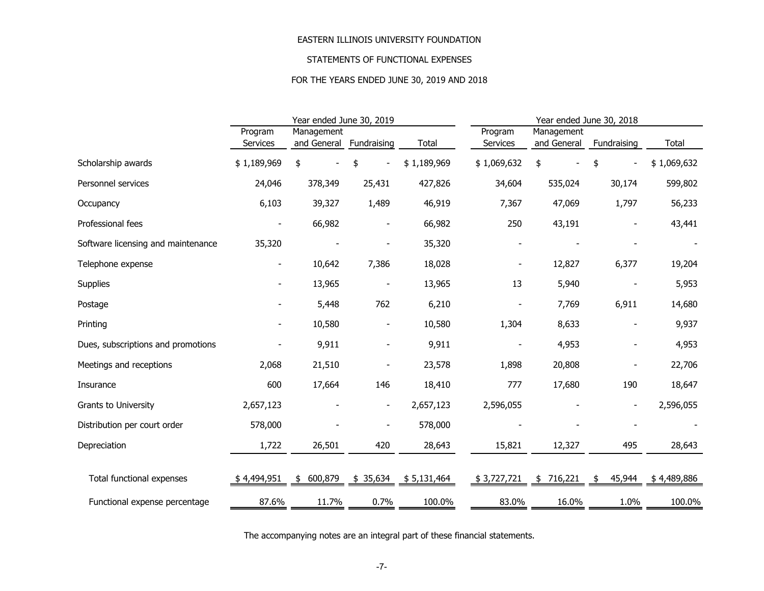### STATEMENTS OF FUNCTIONAL EXPENSES

#### FOR THE YEARS ENDED JUNE 30, 2019 AND 2018

|                                    | Year ended June 30, 2019 |                           |                          |             |                     |                           |             |              |
|------------------------------------|--------------------------|---------------------------|--------------------------|-------------|---------------------|---------------------------|-------------|--------------|
|                                    | Program<br>Services      | Management<br>and General | Fundraising              | Total       | Program<br>Services | Management<br>and General | Fundraising | <b>Total</b> |
| Scholarship awards                 | \$1,189,969              | \$                        | \$                       | \$1,189,969 | \$1,069,632         | \$                        | \$          | \$1,069,632  |
| Personnel services                 | 24,046                   | 378,349                   | 25,431                   | 427,826     | 34,604              | 535,024                   | 30,174      | 599,802      |
| Occupancy                          | 6,103                    | 39,327                    | 1,489                    | 46,919      | 7,367               | 47,069                    | 1,797       | 56,233       |
| Professional fees                  |                          | 66,982                    | $\overline{\phantom{a}}$ | 66,982      | 250                 | 43,191                    |             | 43,441       |
| Software licensing and maintenance | 35,320                   |                           |                          | 35,320      |                     |                           |             |              |
| Telephone expense                  |                          | 10,642                    | 7,386                    | 18,028      |                     | 12,827                    | 6,377       | 19,204       |
| Supplies                           |                          | 13,965                    |                          | 13,965      | 13                  | 5,940                     |             | 5,953        |
| Postage                            |                          | 5,448                     | 762                      | 6,210       |                     | 7,769                     | 6,911       | 14,680       |
| Printing                           |                          | 10,580                    |                          | 10,580      | 1,304               | 8,633                     |             | 9,937        |
| Dues, subscriptions and promotions |                          | 9,911                     | $\overline{\phantom{a}}$ | 9,911       |                     | 4,953                     |             | 4,953        |
| Meetings and receptions            | 2,068                    | 21,510                    |                          | 23,578      | 1,898               | 20,808                    |             | 22,706       |
| Insurance                          | 600                      | 17,664                    | 146                      | 18,410      | 777                 | 17,680                    | 190         | 18,647       |
| Grants to University               | 2,657,123                |                           | $\blacksquare$           | 2,657,123   | 2,596,055           |                           |             | 2,596,055    |
| Distribution per court order       | 578,000                  |                           |                          | 578,000     |                     |                           |             |              |
| Depreciation                       | 1,722                    | 26,501                    | 420                      | 28,643      | 15,821              | 12,327                    | 495         | 28,643       |
| Total functional expenses          | \$4,494,951              | 600,879<br>\$             | \$35,634                 | \$5,131,464 | \$3,727,721         | 716,221<br>\$             | 45,944      | \$4,489,886  |
| Functional expense percentage      | 87.6%                    | 11.7%                     | 0.7%                     | 100.0%      | 83.0%               | 16.0%                     | 1.0%        | 100.0%       |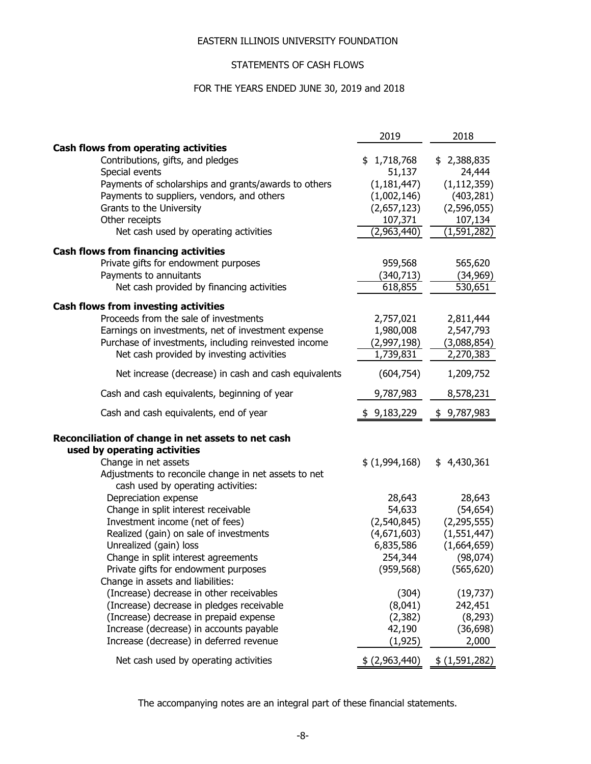# STATEMENTS OF CASH FLOWS

# FOR THE YEARS ENDED JUNE 30, 2019 and 2018

|                                                                                                                                                                                                                       | 2019                                                        | 2018                                                               |
|-----------------------------------------------------------------------------------------------------------------------------------------------------------------------------------------------------------------------|-------------------------------------------------------------|--------------------------------------------------------------------|
| Cash flows from operating activities<br>Contributions, gifts, and pledges<br>Special events                                                                                                                           | \$1,718,768<br>51,137                                       | \$2,388,835<br>24,444                                              |
| Payments of scholarships and grants/awards to others<br>Payments to suppliers, vendors, and others<br>Grants to the University<br>Other receipts                                                                      | (1, 181, 447)<br>(1,002,146)<br>(2,657,123)<br>107,371      | (1, 112, 359)<br>(403, 281)<br>(2,596,055)<br>107,134              |
| Net cash used by operating activities                                                                                                                                                                                 | (2,963,440)                                                 | (1, 591, 282)                                                      |
| <b>Cash flows from financing activities</b>                                                                                                                                                                           |                                                             |                                                                    |
| Private gifts for endowment purposes<br>Payments to annuitants<br>Net cash provided by financing activities                                                                                                           | 959,568<br>(340,713)<br>618,855                             | 565,620<br>(34,969)<br>530,651                                     |
| <b>Cash flows from investing activities</b>                                                                                                                                                                           |                                                             |                                                                    |
| Proceeds from the sale of investments<br>Earnings on investments, net of investment expense<br>Purchase of investments, including reinvested income<br>Net cash provided by investing activities                      | 2,757,021<br>1,980,008<br>(2,997,198)<br>1,739,831          | 2,811,444<br>2,547,793<br>(3,088,854)<br>2,270,383                 |
| Net increase (decrease) in cash and cash equivalents                                                                                                                                                                  | (604, 754)                                                  | 1,209,752                                                          |
| Cash and cash equivalents, beginning of year                                                                                                                                                                          | 9,787,983                                                   | 8,578,231                                                          |
| Cash and cash equivalents, end of year                                                                                                                                                                                | \$9,183,229                                                 | \$9,787,983                                                        |
| Reconciliation of change in net assets to net cash<br>used by operating activities                                                                                                                                    |                                                             |                                                                    |
| Change in net assets<br>Adjustments to reconcile change in net assets to net<br>cash used by operating activities:                                                                                                    | \$ (1,994,168)                                              | \$4,430,361                                                        |
| Depreciation expense<br>Change in split interest receivable<br>Investment income (net of fees)<br>Realized (gain) on sale of investments<br>Unrealized (gain) loss                                                    | 28,643<br>54,633<br>(2,540,845)<br>(4,671,603)<br>6,835,586 | 28,643<br>(54, 654)<br>(2, 295, 555)<br>(1,551,447)<br>(1,664,659) |
| Change in split interest agreements<br>Private gifts for endowment purposes<br>Change in assets and liabilities:                                                                                                      | 254,344<br>(959, 568)                                       | (98, 074)<br>(565, 620)                                            |
| (Increase) decrease in other receivables<br>(Increase) decrease in pledges receivable<br>(Increase) decrease in prepaid expense<br>Increase (decrease) in accounts payable<br>Increase (decrease) in deferred revenue | (304)<br>(8,041)<br>(2, 382)<br>42,190<br>(1, 925)          | (19, 737)<br>242,451<br>(8, 293)<br>(36, 698)<br>2,000             |
| Net cash used by operating activities                                                                                                                                                                                 | \$ (2,963,440)                                              | \$ (1,591,282)                                                     |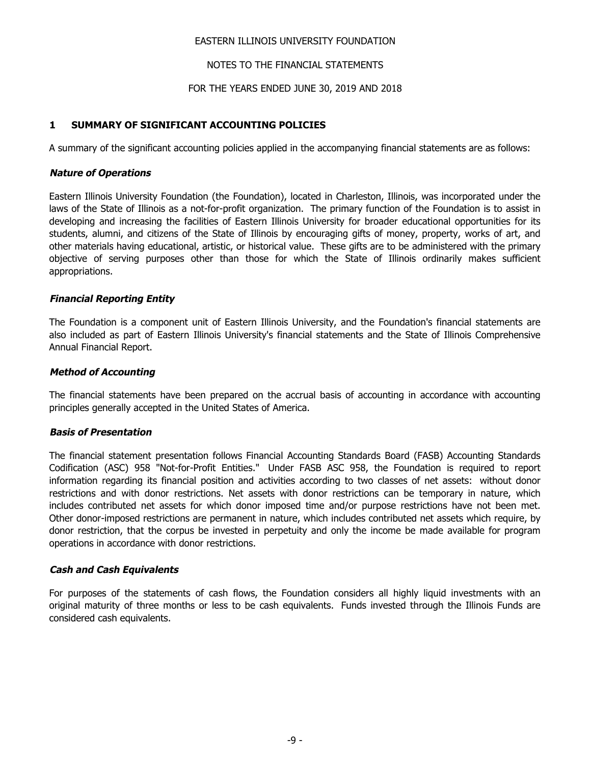### NOTES TO THE FINANCIAL STATEMENTS

#### FOR THE YEARS ENDED JUNE 30, 2019 AND 2018

# **1 SUMMARY OF SIGNIFICANT ACCOUNTING POLICIES**

A summary of the significant accounting policies applied in the accompanying financial statements are as follows:

#### **Nature of Operations**

Eastern Illinois University Foundation (the Foundation), located in Charleston, Illinois, was incorporated under the laws of the State of Illinois as a not-for-profit organization. The primary function of the Foundation is to assist in developing and increasing the facilities of Eastern Illinois University for broader educational opportunities for its students, alumni, and citizens of the State of Illinois by encouraging gifts of money, property, works of art, and other materials having educational, artistic, or historical value. These gifts are to be administered with the primary objective of serving purposes other than those for which the State of Illinois ordinarily makes sufficient appropriations.

#### **Financial Reporting Entity**

The Foundation is a component unit of Eastern Illinois University, and the Foundation's financial statements are also included as part of Eastern Illinois University's financial statements and the State of Illinois Comprehensive Annual Financial Report.

#### **Method of Accounting**

The financial statements have been prepared on the accrual basis of accounting in accordance with accounting principles generally accepted in the United States of America.

#### **Basis of Presentation**

The financial statement presentation follows Financial Accounting Standards Board (FASB) Accounting Standards Codification (ASC) 958 "Not-for-Profit Entities." Under FASB ASC 958, the Foundation is required to report information regarding its financial position and activities according to two classes of net assets: without donor restrictions and with donor restrictions. Net assets with donor restrictions can be temporary in nature, which includes contributed net assets for which donor imposed time and/or purpose restrictions have not been met. Other donor-imposed restrictions are permanent in nature, which includes contributed net assets which require, by donor restriction, that the corpus be invested in perpetuity and only the income be made available for program operations in accordance with donor restrictions.

#### **Cash and Cash Equivalents**

For purposes of the statements of cash flows, the Foundation considers all highly liquid investments with an original maturity of three months or less to be cash equivalents. Funds invested through the Illinois Funds are considered cash equivalents.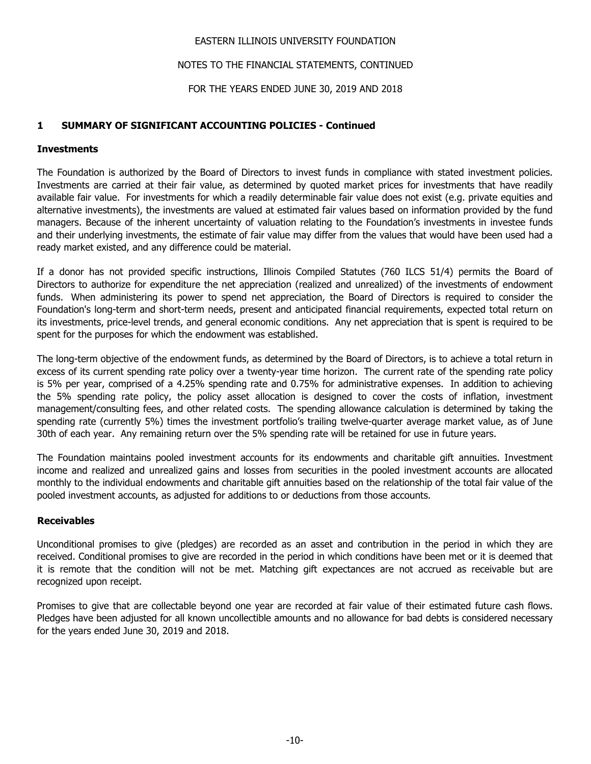### NOTES TO THE FINANCIAL STATEMENTS, CONTINUED

FOR THE YEARS ENDED JUNE 30, 2019 AND 2018

# **1 SUMMARY OF SIGNIFICANT ACCOUNTING POLICIES - Continued**

# **Investments**

The Foundation is authorized by the Board of Directors to invest funds in compliance with stated investment policies. Investments are carried at their fair value, as determined by quoted market prices for investments that have readily available fair value. For investments for which a readily determinable fair value does not exist (e.g. private equities and alternative investments), the investments are valued at estimated fair values based on information provided by the fund managers. Because of the inherent uncertainty of valuation relating to the Foundation's investments in investee funds and their underlying investments, the estimate of fair value may differ from the values that would have been used had a ready market existed, and any difference could be material.

If a donor has not provided specific instructions, Illinois Compiled Statutes (760 ILCS 51/4) permits the Board of Directors to authorize for expenditure the net appreciation (realized and unrealized) of the investments of endowment funds. When administering its power to spend net appreciation, the Board of Directors is required to consider the Foundation's long-term and short-term needs, present and anticipated financial requirements, expected total return on its investments, price-level trends, and general economic conditions. Any net appreciation that is spent is required to be spent for the purposes for which the endowment was established.

The long-term objective of the endowment funds, as determined by the Board of Directors, is to achieve a total return in excess of its current spending rate policy over a twenty-year time horizon. The current rate of the spending rate policy is 5% per year, comprised of a 4.25% spending rate and 0.75% for administrative expenses. In addition to achieving the 5% spending rate policy, the policy asset allocation is designed to cover the costs of inflation, investment management/consulting fees, and other related costs. The spending allowance calculation is determined by taking the spending rate (currently 5%) times the investment portfolio's trailing twelve-quarter average market value, as of June 30th of each year. Any remaining return over the 5% spending rate will be retained for use in future years.

The Foundation maintains pooled investment accounts for its endowments and charitable gift annuities. Investment income and realized and unrealized gains and losses from securities in the pooled investment accounts are allocated monthly to the individual endowments and charitable gift annuities based on the relationship of the total fair value of the pooled investment accounts, as adjusted for additions to or deductions from those accounts.

#### **Receivables**

Unconditional promises to give (pledges) are recorded as an asset and contribution in the period in which they are received. Conditional promises to give are recorded in the period in which conditions have been met or it is deemed that it is remote that the condition will not be met. Matching gift expectances are not accrued as receivable but are recognized upon receipt.

Promises to give that are collectable beyond one year are recorded at fair value of their estimated future cash flows. Pledges have been adjusted for all known uncollectible amounts and no allowance for bad debts is considered necessary for the years ended June 30, 2019 and 2018.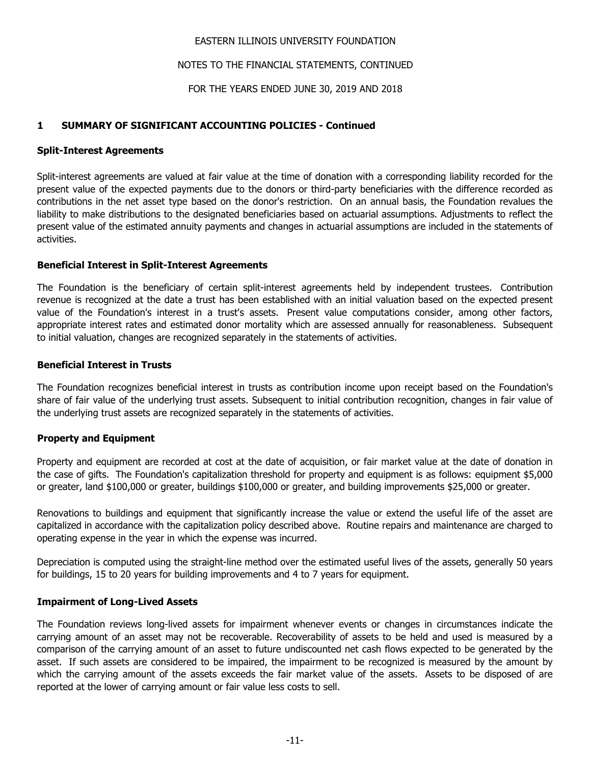#### NOTES TO THE FINANCIAL STATEMENTS, CONTINUED

FOR THE YEARS ENDED JUNE 30, 2019 AND 2018

#### **1 SUMMARY OF SIGNIFICANT ACCOUNTING POLICIES - Continued**

#### **Split-Interest Agreements**

Split-interest agreements are valued at fair value at the time of donation with a corresponding liability recorded for the present value of the expected payments due to the donors or third-party beneficiaries with the difference recorded as contributions in the net asset type based on the donor's restriction. On an annual basis, the Foundation revalues the liability to make distributions to the designated beneficiaries based on actuarial assumptions. Adjustments to reflect the present value of the estimated annuity payments and changes in actuarial assumptions are included in the statements of activities.

#### **Beneficial Interest in Split-Interest Agreements**

The Foundation is the beneficiary of certain split-interest agreements held by independent trustees. Contribution revenue is recognized at the date a trust has been established with an initial valuation based on the expected present value of the Foundation's interest in a trust's assets. Present value computations consider, among other factors, appropriate interest rates and estimated donor mortality which are assessed annually for reasonableness. Subsequent to initial valuation, changes are recognized separately in the statements of activities.

#### **Beneficial Interest in Trusts**

The Foundation recognizes beneficial interest in trusts as contribution income upon receipt based on the Foundation's share of fair value of the underlying trust assets. Subsequent to initial contribution recognition, changes in fair value of the underlying trust assets are recognized separately in the statements of activities.

#### **Property and Equipment**

Property and equipment are recorded at cost at the date of acquisition, or fair market value at the date of donation in the case of gifts. The Foundation's capitalization threshold for property and equipment is as follows: equipment \$5,000 or greater, land \$100,000 or greater, buildings \$100,000 or greater, and building improvements \$25,000 or greater.

Renovations to buildings and equipment that significantly increase the value or extend the useful life of the asset are capitalized in accordance with the capitalization policy described above. Routine repairs and maintenance are charged to operating expense in the year in which the expense was incurred.

Depreciation is computed using the straight-line method over the estimated useful lives of the assets, generally 50 years for buildings, 15 to 20 years for building improvements and 4 to 7 years for equipment.

#### **Impairment of Long-Lived Assets**

The Foundation reviews long-lived assets for impairment whenever events or changes in circumstances indicate the carrying amount of an asset may not be recoverable. Recoverability of assets to be held and used is measured by a comparison of the carrying amount of an asset to future undiscounted net cash flows expected to be generated by the asset. If such assets are considered to be impaired, the impairment to be recognized is measured by the amount by which the carrying amount of the assets exceeds the fair market value of the assets. Assets to be disposed of are reported at the lower of carrying amount or fair value less costs to sell.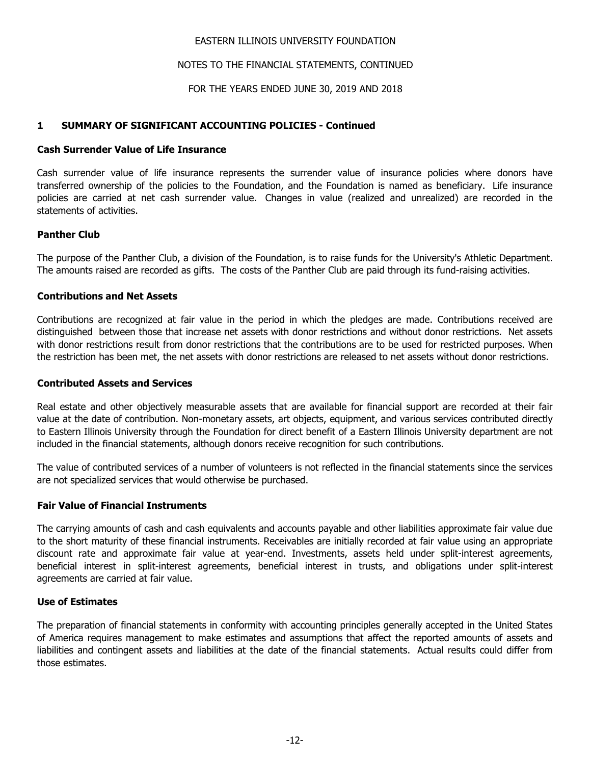#### NOTES TO THE FINANCIAL STATEMENTS, CONTINUED

FOR THE YEARS ENDED JUNE 30, 2019 AND 2018

## **1 SUMMARY OF SIGNIFICANT ACCOUNTING POLICIES - Continued**

#### **Cash Surrender Value of Life Insurance**

Cash surrender value of life insurance represents the surrender value of insurance policies where donors have transferred ownership of the policies to the Foundation, and the Foundation is named as beneficiary. Life insurance policies are carried at net cash surrender value. Changes in value (realized and unrealized) are recorded in the statements of activities.

#### **Panther Club**

The purpose of the Panther Club, a division of the Foundation, is to raise funds for the University's Athletic Department. The amounts raised are recorded as gifts. The costs of the Panther Club are paid through its fund-raising activities.

#### **Contributions and Net Assets**

Contributions are recognized at fair value in the period in which the pledges are made. Contributions received are distinguished between those that increase net assets with donor restrictions and without donor restrictions. Net assets with donor restrictions result from donor restrictions that the contributions are to be used for restricted purposes. When the restriction has been met, the net assets with donor restrictions are released to net assets without donor restrictions.

#### **Contributed Assets and Services**

Real estate and other objectively measurable assets that are available for financial support are recorded at their fair value at the date of contribution. Non-monetary assets, art objects, equipment, and various services contributed directly to Eastern Illinois University through the Foundation for direct benefit of a Eastern Illinois University department are not included in the financial statements, although donors receive recognition for such contributions.

The value of contributed services of a number of volunteers is not reflected in the financial statements since the services are not specialized services that would otherwise be purchased.

#### **Fair Value of Financial Instruments**

The carrying amounts of cash and cash equivalents and accounts payable and other liabilities approximate fair value due to the short maturity of these financial instruments. Receivables are initially recorded at fair value using an appropriate discount rate and approximate fair value at year-end. Investments, assets held under split-interest agreements, beneficial interest in split-interest agreements, beneficial interest in trusts, and obligations under split-interest agreements are carried at fair value.

#### **Use of Estimates**

The preparation of financial statements in conformity with accounting principles generally accepted in the United States of America requires management to make estimates and assumptions that affect the reported amounts of assets and liabilities and contingent assets and liabilities at the date of the financial statements. Actual results could differ from those estimates.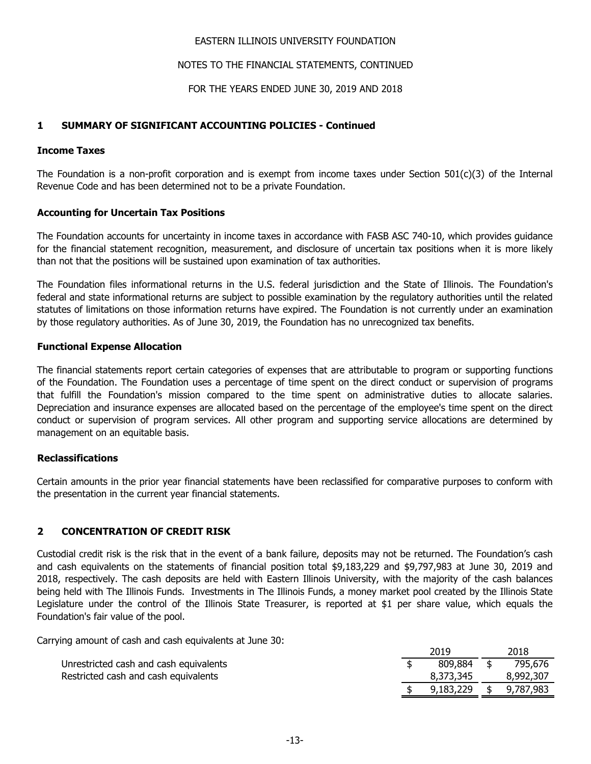#### NOTES TO THE FINANCIAL STATEMENTS, CONTINUED

FOR THE YEARS ENDED JUNE 30, 2019 AND 2018

## **1 SUMMARY OF SIGNIFICANT ACCOUNTING POLICIES - Continued**

#### **Income Taxes**

The Foundation is a non-profit corporation and is exempt from income taxes under Section 501(c)(3) of the Internal Revenue Code and has been determined not to be a private Foundation.

#### **Accounting for Uncertain Tax Positions**

The Foundation accounts for uncertainty in income taxes in accordance with FASB ASC 740-10, which provides guidance for the financial statement recognition, measurement, and disclosure of uncertain tax positions when it is more likely than not that the positions will be sustained upon examination of tax authorities.

The Foundation files informational returns in the U.S. federal jurisdiction and the State of Illinois. The Foundation's federal and state informational returns are subject to possible examination by the regulatory authorities until the related statutes of limitations on those information returns have expired. The Foundation is not currently under an examination by those regulatory authorities. As of June 30, 2019, the Foundation has no unrecognized tax benefits.

#### **Functional Expense Allocation**

The financial statements report certain categories of expenses that are attributable to program or supporting functions of the Foundation. The Foundation uses a percentage of time spent on the direct conduct or supervision of programs that fulfill the Foundation's mission compared to the time spent on administrative duties to allocate salaries. Depreciation and insurance expenses are allocated based on the percentage of the employee's time spent on the direct conduct or supervision of program services. All other program and supporting service allocations are determined by management on an equitable basis.

#### **Reclassifications**

Certain amounts in the prior year financial statements have been reclassified for comparative purposes to conform with the presentation in the current year financial statements.

# **2 CONCENTRATION OF CREDIT RISK**

Custodial credit risk is the risk that in the event of a bank failure, deposits may not be returned. The Foundation's cash and cash equivalents on the statements of financial position total \$9,183,229 and \$9,797,983 at June 30, 2019 and 2018, respectively. The cash deposits are held with Eastern Illinois University, with the majority of the cash balances being held with The Illinois Funds. Investments in The Illinois Funds, a money market pool created by the Illinois State Legislature under the control of the Illinois State Treasurer, is reported at \$1 per share value, which equals the Foundation's fair value of the pool.

Carrying amount of cash and cash equivalents at June 30:

|                                        | 2019       |          | 2018      |
|----------------------------------------|------------|----------|-----------|
| Unrestricted cash and cash equivalents | 809.884 \$ |          | 795,676   |
| Restricted cash and cash equivalents   | 8,373,345  |          | 8,992,307 |
|                                        | 9,183,229  | <b>S</b> | 9,787,983 |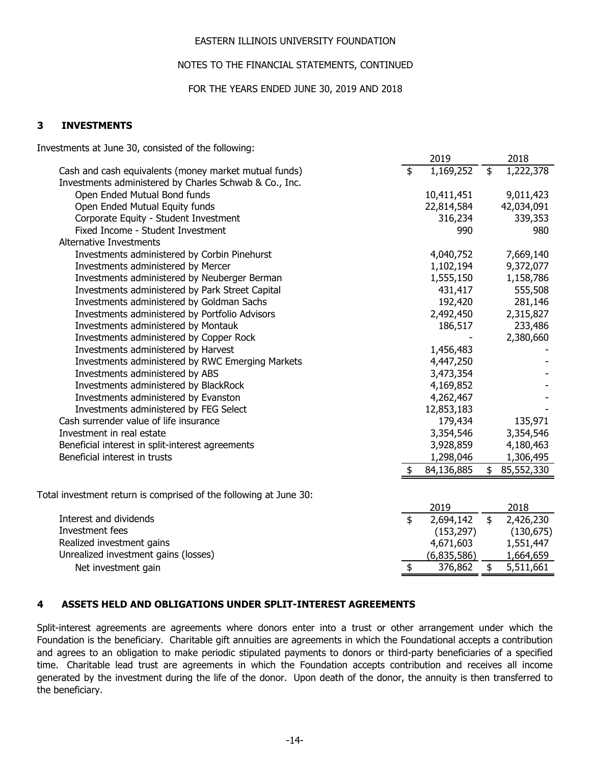### NOTES TO THE FINANCIAL STATEMENTS, CONTINUED

FOR THE YEARS ENDED JUNE 30, 2019 AND 2018

## **3 INVESTMENTS**

Investments at June 30, consisted of the following:

|                                                                   | 2019            | 2018             |
|-------------------------------------------------------------------|-----------------|------------------|
| Cash and cash equivalents (money market mutual funds)             | \$<br>1,169,252 | \$<br>1,222,378  |
| Investments administered by Charles Schwab & Co., Inc.            |                 |                  |
| Open Ended Mutual Bond funds                                      | 10,411,451      | 9,011,423        |
| Open Ended Mutual Equity funds                                    | 22,814,584      | 42,034,091       |
| Corporate Equity - Student Investment                             | 316,234         | 339,353          |
| Fixed Income - Student Investment                                 | 990             | 980              |
| Alternative Investments                                           |                 |                  |
| Investments administered by Corbin Pinehurst                      | 4,040,752       | 7,669,140        |
| Investments administered by Mercer                                | 1,102,194       | 9,372,077        |
| Investments administered by Neuberger Berman                      | 1,555,150       | 1,158,786        |
| Investments administered by Park Street Capital                   | 431,417         | 555,508          |
| Investments administered by Goldman Sachs                         | 192,420         | 281,146          |
| Investments administered by Portfolio Advisors                    | 2,492,450       | 2,315,827        |
| Investments administered by Montauk                               | 186,517         | 233,486          |
| Investments administered by Copper Rock                           |                 | 2,380,660        |
| Investments administered by Harvest                               | 1,456,483       |                  |
| Investments administered by RWC Emerging Markets                  | 4,447,250       |                  |
| Investments administered by ABS                                   | 3,473,354       |                  |
| Investments administered by BlackRock                             | 4,169,852       |                  |
| Investments administered by Evanston                              | 4,262,467       |                  |
| Investments administered by FEG Select                            | 12,853,183      |                  |
| Cash surrender value of life insurance                            | 179,434         | 135,971          |
| Investment in real estate                                         | 3,354,546       | 3,354,546        |
| Beneficial interest in split-interest agreements                  | 3,928,859       | 4,180,463        |
| Beneficial interest in trusts                                     | 1,298,046       | 1,306,495        |
|                                                                   | 84,136,885      | \$<br>85,552,330 |
|                                                                   |                 |                  |
| Total investment return is comprised of the following at June 30: | 2019            | 2018             |
| Interest and dividends                                            | \$<br>2,694,142 | \$<br>2,426,230  |
| Investment fees                                                   | (153, 297)      | (130, 675)       |
| Realized investment gains                                         | 4,671,603       | 1,551,447        |
| Unrealized investment gains (losses)                              | (6,835,586)     | 1,664,659        |
| Net investment gain                                               | \$<br>376,862   | \$<br>5,511,661  |
|                                                                   |                 |                  |

#### **4 ASSETS HELD AND OBLIGATIONS UNDER SPLIT-INTEREST AGREEMENTS**

Split-interest agreements are agreements where donors enter into a trust or other arrangement under which the Foundation is the beneficiary. Charitable gift annuities are agreements in which the Foundational accepts a contribution and agrees to an obligation to make periodic stipulated payments to donors or third-party beneficiaries of a specified time. Charitable lead trust are agreements in which the Foundation accepts contribution and receives all income generated by the investment during the life of the donor. Upon death of the donor, the annuity is then transferred to the beneficiary.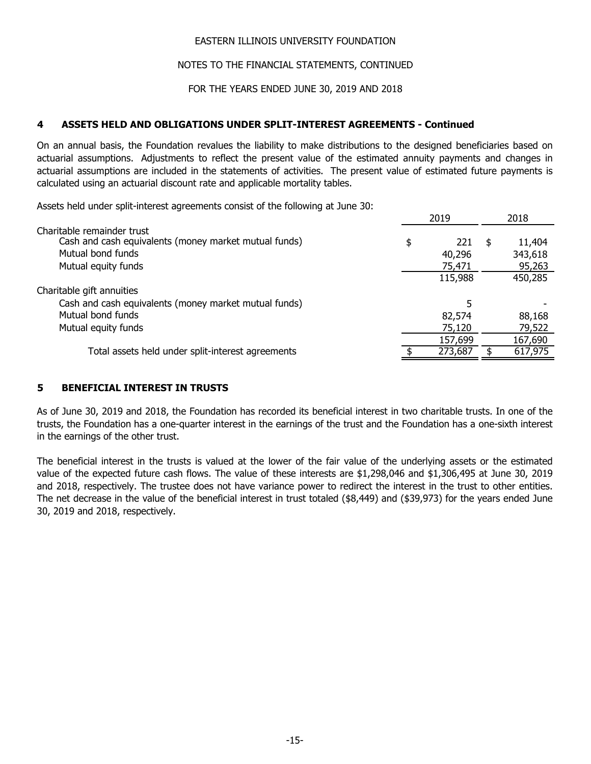#### NOTES TO THE FINANCIAL STATEMENTS, CONTINUED

FOR THE YEARS ENDED JUNE 30, 2019 AND 2018

#### **4 ASSETS HELD AND OBLIGATIONS UNDER SPLIT-INTEREST AGREEMENTS - Continued**

On an annual basis, the Foundation revalues the liability to make distributions to the designed beneficiaries based on actuarial assumptions. Adjustments to reflect the present value of the estimated annuity payments and changes in actuarial assumptions are included in the statements of activities. The present value of estimated future payments is calculated using an actuarial discount rate and applicable mortality tables.

Assets held under split-interest agreements consist of the following at June 30:

|                                                                                     | 2019      |   | 2018    |
|-------------------------------------------------------------------------------------|-----------|---|---------|
| Charitable remainder trust<br>Cash and cash equivalents (money market mutual funds) | \$<br>221 | S | 11,404  |
| Mutual bond funds                                                                   | 40,296    |   | 343,618 |
| Mutual equity funds                                                                 | 75,471    |   | 95,263  |
|                                                                                     | 115,988   |   | 450,285 |
| Charitable gift annuities                                                           |           |   |         |
| Cash and cash equivalents (money market mutual funds)                               |           |   |         |
| Mutual bond funds                                                                   | 82,574    |   | 88,168  |
| Mutual equity funds                                                                 | 75,120    |   | 79,522  |
|                                                                                     | 157,699   |   | 167,690 |
| Total assets held under split-interest agreements                                   | 273,687   |   | 617,975 |

## **5 BENEFICIAL INTEREST IN TRUSTS**

As of June 30, 2019 and 2018, the Foundation has recorded its beneficial interest in two charitable trusts. In one of the trusts, the Foundation has a one-quarter interest in the earnings of the trust and the Foundation has a one-sixth interest in the earnings of the other trust.

The beneficial interest in the trusts is valued at the lower of the fair value of the underlying assets or the estimated value of the expected future cash flows. The value of these interests are \$1,298,046 and \$1,306,495 at June 30, 2019 and 2018, respectively. The trustee does not have variance power to redirect the interest in the trust to other entities. The net decrease in the value of the beneficial interest in trust totaled (\$8,449) and (\$39,973) for the years ended June 30, 2019 and 2018, respectively.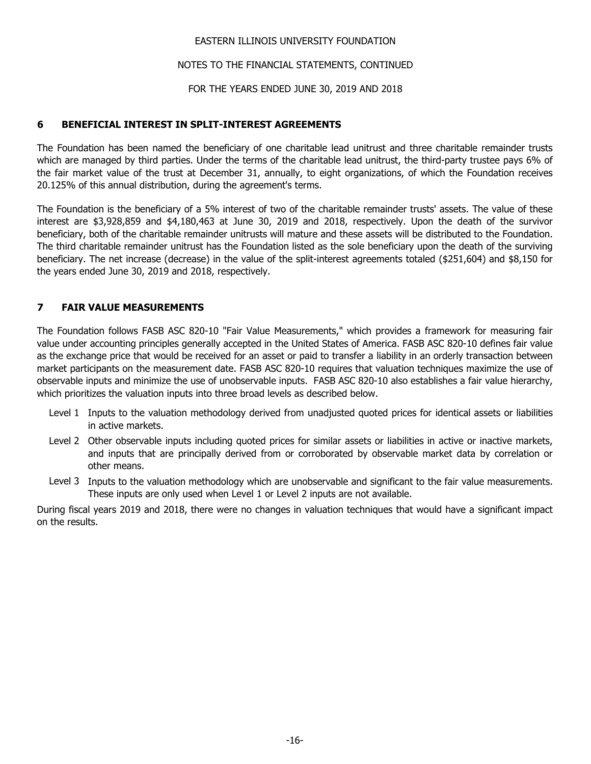#### NOTES TO THE FINANCIAL STATEMENTS, CONTINUED

FOR THE YEARS ENDED JUNE 30, 2019 AND 2018

# **6 BENEFICIAL INTEREST IN SPLIT-INTEREST AGREEMENTS**

The Foundation has been named the beneficiary of one charitable lead unitrust and three charitable remainder trusts which are managed by third parties. Under the terms of the charitable lead unitrust, the third-party trustee pays 6% of the fair market value of the trust at December 31, annually, to eight organizations, of which the Foundation receives 20.125% of this annual distribution, during the agreement's terms.

The Foundation is the beneficiary of a 5% interest of two of the charitable remainder trusts' assets. The value of these interest are \$3,928,859 and \$4,180,463 at June 30, 2019 and 2018, respectively. Upon the death of the survivor beneficiary, both of the charitable remainder unitrusts will mature and these assets will be distributed to the Foundation. The third charitable remainder unitrust has the Foundation listed as the sole beneficiary upon the death of the surviving beneficiary. The net increase (decrease) in the value of the split-interest agreements totaled (\$251,604) and \$8,150 for the years ended June 30, 2019 and 2018, respectively.

# **7 FAIR VALUE MEASUREMENTS**

The Foundation follows FASB ASC 820-10 "Fair Value Measurements," which provides a framework for measuring fair value under accounting principles generally accepted in the United States of America. FASB ASC 820-10 defines fair value as the exchange price that would be received for an asset or paid to transfer a liability in an orderly transaction between market participants on the measurement date. FASB ASC 820-10 requires that valuation techniques maximize the use of observable inputs and minimize the use of unobservable inputs. FASB ASC 820-10 also establishes a fair value hierarchy, which prioritizes the valuation inputs into three broad levels as described below.

- Level 1 Inputs to the valuation methodology derived from unadjusted quoted prices for identical assets or liabilities in active markets.
- Level 2 Other observable inputs including quoted prices for similar assets or liabilities in active or inactive markets, and inputs that are principally derived from or corroborated by observable market data by correlation or other means.
- Level 3 Inputs to the valuation methodology which are unobservable and significant to the fair value measurements. These inputs are only used when Level 1 or Level 2 inputs are not available.

During fiscal years 2019 and 2018, there were no changes in valuation techniques that would have a significant impact on the results.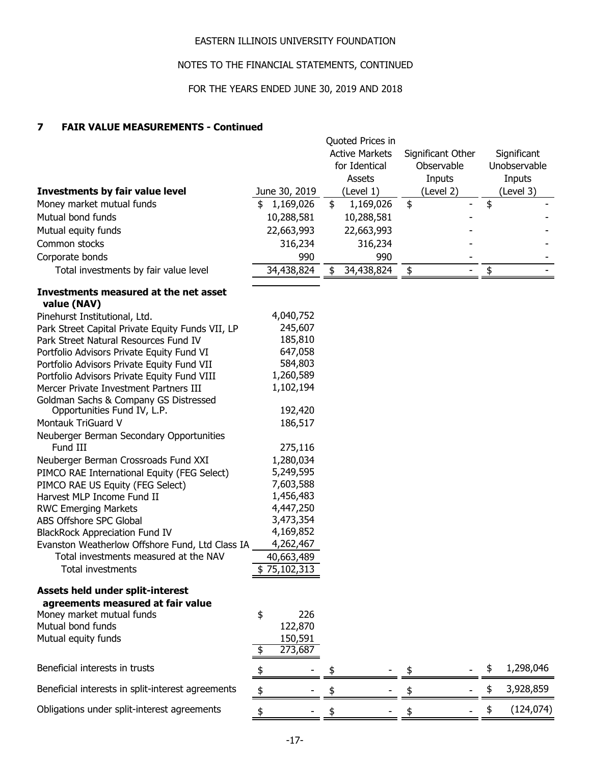# NOTES TO THE FINANCIAL STATEMENTS, CONTINUED

FOR THE YEARS ENDED JUNE 30, 2019 AND 2018

# **7 FAIR VALUE MEASUREMENTS - Continued**

|                                                      |                 | Quoted Prices in      |                   |                 |
|------------------------------------------------------|-----------------|-----------------------|-------------------|-----------------|
|                                                      |                 | <b>Active Markets</b> | Significant Other | Significant     |
|                                                      |                 | for Identical         | Observable        | Unobservable    |
|                                                      |                 | Assets                | Inputs            | Inputs          |
| Investments by fair value level                      | June 30, 2019   | (Level 1)             | (Level 2)         | (Level 3)       |
| Money market mutual funds                            | 1,169,026<br>\$ | \$<br>1,169,026       | \$                | \$              |
| Mutual bond funds                                    | 10,288,581      | 10,288,581            |                   |                 |
| Mutual equity funds                                  | 22,663,993      | 22,663,993            |                   |                 |
| Common stocks                                        | 316,234         | 316,234               |                   |                 |
| Corporate bonds                                      | 990             | 990                   |                   |                 |
| Total investments by fair value level                | 34,438,824      | \$<br>34,438,824      | \$<br>۰           | \$              |
|                                                      |                 |                       |                   |                 |
| Investments measured at the net asset<br>value (NAV) |                 |                       |                   |                 |
| Pinehurst Institutional, Ltd.                        | 4,040,752       |                       |                   |                 |
| Park Street Capital Private Equity Funds VII, LP     | 245,607         |                       |                   |                 |
| Park Street Natural Resources Fund IV                | 185,810         |                       |                   |                 |
| Portfolio Advisors Private Equity Fund VI            | 647,058         |                       |                   |                 |
| Portfolio Advisors Private Equity Fund VII           | 584,803         |                       |                   |                 |
| Portfolio Advisors Private Equity Fund VIII          | 1,260,589       |                       |                   |                 |
| Mercer Private Investment Partners III               | 1,102,194       |                       |                   |                 |
| Goldman Sachs & Company GS Distressed                |                 |                       |                   |                 |
| Opportunities Fund IV, L.P.                          | 192,420         |                       |                   |                 |
| Montauk TriGuard V                                   | 186,517         |                       |                   |                 |
| Neuberger Berman Secondary Opportunities<br>Fund III | 275,116         |                       |                   |                 |
| Neuberger Berman Crossroads Fund XXI                 | 1,280,034       |                       |                   |                 |
| PIMCO RAE International Equity (FEG Select)          | 5,249,595       |                       |                   |                 |
| PIMCO RAE US Equity (FEG Select)                     | 7,603,588       |                       |                   |                 |
| Harvest MLP Income Fund II                           | 1,456,483       |                       |                   |                 |
| <b>RWC Emerging Markets</b>                          | 4,447,250       |                       |                   |                 |
| ABS Offshore SPC Global                              | 3,473,354       |                       |                   |                 |
| <b>BlackRock Appreciation Fund IV</b>                | 4,169,852       |                       |                   |                 |
| Evanston Weatherlow Offshore Fund, Ltd Class IA      | 4,262,467       |                       |                   |                 |
| Total investments measured at the NAV                | 40,663,489      |                       |                   |                 |
| Total investments                                    | \$75,102,313    |                       |                   |                 |
| Assets held under split-interest                     |                 |                       |                   |                 |
| agreements measured at fair value                    |                 |                       |                   |                 |
| Money market mutual funds                            | \$<br>226       |                       |                   |                 |
| Mutual bond funds                                    | 122,870         |                       |                   |                 |
| Mutual equity funds                                  | 150,591         |                       |                   |                 |
|                                                      | 273,687         |                       |                   |                 |
| Beneficial interests in trusts                       |                 |                       |                   | \$<br>1,298,046 |
| Beneficial interests in split-interest agreements    |                 |                       |                   | 3,928,859       |
| Obligations under split-interest agreements          |                 |                       |                   | (124, 074)      |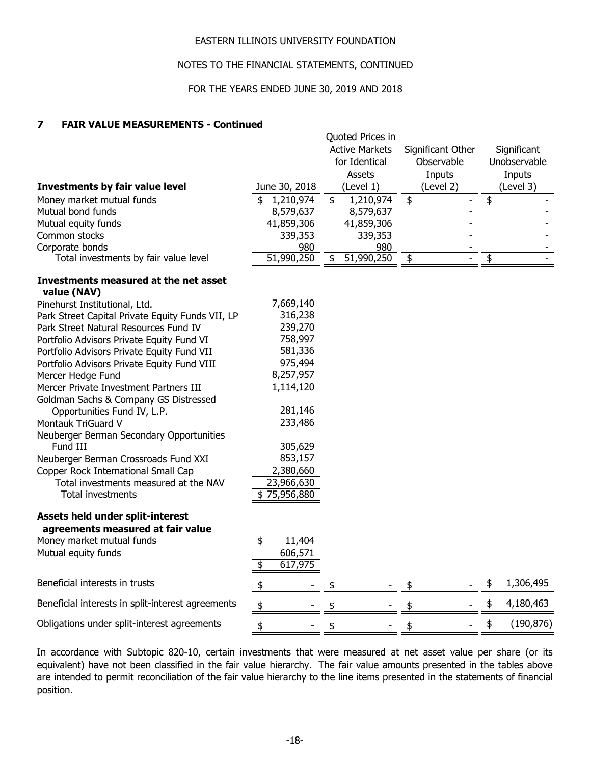# NOTES TO THE FINANCIAL STATEMENTS, CONTINUED

FOR THE YEARS ENDED JUNE 30, 2019 AND 2018

### **7 FAIR VALUE MEASUREMENTS - Continued**

|                                                      |                 | Quoted Prices in      |                   |                  |
|------------------------------------------------------|-----------------|-----------------------|-------------------|------------------|
|                                                      |                 | <b>Active Markets</b> | Significant Other | Significant      |
|                                                      |                 | for Identical         | Observable        | Unobservable     |
|                                                      |                 | Assets                | Inputs            | Inputs           |
| <b>Investments by fair value level</b>               | June 30, 2018   | (Level 1)             | (Level 2)         | (Level 3)        |
| Money market mutual funds                            | 1,210,974<br>\$ | \$<br>1,210,974       | \$                | \$               |
| Mutual bond funds                                    | 8,579,637       | 8,579,637             |                   |                  |
| Mutual equity funds                                  | 41,859,306      | 41,859,306            |                   |                  |
| Common stocks                                        | 339,353         | 339,353               |                   |                  |
| Corporate bonds                                      | 980             | 980                   |                   |                  |
| Total investments by fair value level                | 51,990,250      | \$<br>51,990,250      | \$                | \$               |
| Investments measured at the net asset<br>value (NAV) |                 |                       |                   |                  |
| Pinehurst Institutional, Ltd.                        | 7,669,140       |                       |                   |                  |
| Park Street Capital Private Equity Funds VII, LP     | 316,238         |                       |                   |                  |
| Park Street Natural Resources Fund IV                | 239,270         |                       |                   |                  |
| Portfolio Advisors Private Equity Fund VI            | 758,997         |                       |                   |                  |
| Portfolio Advisors Private Equity Fund VII           | 581,336         |                       |                   |                  |
| Portfolio Advisors Private Equity Fund VIII          | 975,494         |                       |                   |                  |
| Mercer Hedge Fund                                    | 8,257,957       |                       |                   |                  |
| Mercer Private Investment Partners III               | 1,114,120       |                       |                   |                  |
| Goldman Sachs & Company GS Distressed                |                 |                       |                   |                  |
| Opportunities Fund IV, L.P.                          | 281,146         |                       |                   |                  |
| Montauk TriGuard V                                   | 233,486         |                       |                   |                  |
| Neuberger Berman Secondary Opportunities             |                 |                       |                   |                  |
| Fund III                                             | 305,629         |                       |                   |                  |
| Neuberger Berman Crossroads Fund XXI                 | 853,157         |                       |                   |                  |
| Copper Rock International Small Cap                  | 2,380,660       |                       |                   |                  |
| Total investments measured at the NAV                | 23,966,630      |                       |                   |                  |
| Total investments                                    | 75,956,880      |                       |                   |                  |
| Assets held under split-interest                     |                 |                       |                   |                  |
| agreements measured at fair value                    |                 |                       |                   |                  |
| Money market mutual funds                            | \$<br>11,404    |                       |                   |                  |
| Mutual equity funds                                  | 606,571         |                       |                   |                  |
|                                                      | 617,975<br>\$   |                       |                   |                  |
| Beneficial interests in trusts                       | \$              |                       |                   | 1,306,495        |
| Beneficial interests in split-interest agreements    | \$              | \$                    | \$                | \$<br>4,180,463  |
| Obligations under split-interest agreements          | \$              | \$                    | \$                | \$<br>(190, 876) |

In accordance with Subtopic 820-10, certain investments that were measured at net asset value per share (or its equivalent) have not been classified in the fair value hierarchy. The fair value amounts presented in the tables above are intended to permit reconciliation of the fair value hierarchy to the line items presented in the statements of financial position.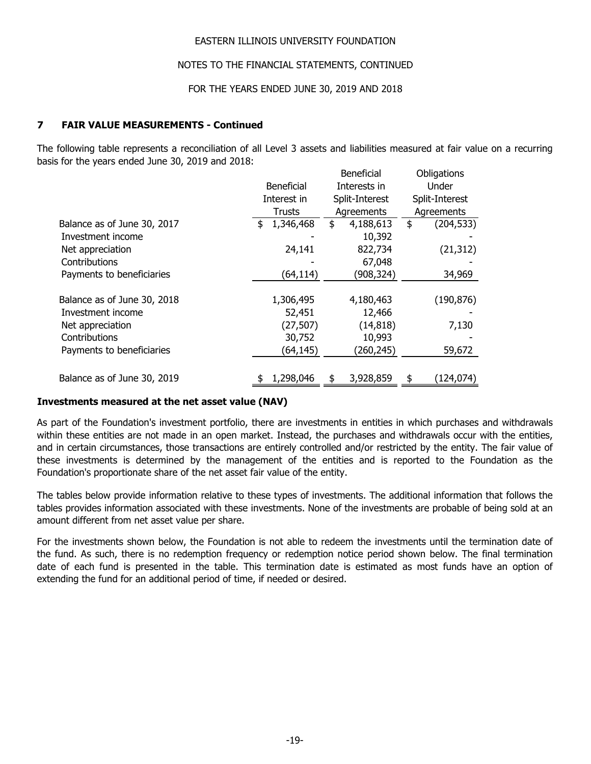#### NOTES TO THE FINANCIAL STATEMENTS, CONTINUED

#### FOR THE YEARS ENDED JUNE 30, 2019 AND 2018

# **7 FAIR VALUE MEASUREMENTS - Continued**

The following table represents a reconciliation of all Level 3 assets and liabilities measured at fair value on a recurring basis for the years ended June 30, 2019 and 2018:

|                             |                   | <b>Beneficial</b> | Obligations      |
|-----------------------------|-------------------|-------------------|------------------|
|                             | <b>Beneficial</b> | Interests in      | Under            |
|                             | Interest in       | Split-Interest    | Split-Interest   |
|                             | <b>Trusts</b>     | Agreements        | Agreements       |
| Balance as of June 30, 2017 | 1,346,468<br>\$   | 4,188,613<br>\$   | (204, 533)<br>\$ |
| Investment income           |                   | 10,392            |                  |
| Net appreciation            | 24,141            | 822,734           | (21, 312)        |
| Contributions               |                   | 67,048            |                  |
| Payments to beneficiaries   | (64, 114)         | (908, 324)        | 34,969           |
|                             |                   |                   |                  |
| Balance as of June 30, 2018 | 1,306,495         | 4,180,463         | (190, 876)       |
| Investment income           | 52,451            | 12,466            |                  |
| Net appreciation            | (27, 507)         | (14, 818)         | 7,130            |
| Contributions               | 30,752            | 10,993            |                  |
| Payments to beneficiaries   | (64,145)          | (260,245)         | 59,672           |
|                             |                   |                   |                  |
| Balance as of June 30, 2019 | 1,298,046         | 3,928,859<br>\$   | (124, 074)<br>\$ |

#### **Investments measured at the net asset value (NAV)**

As part of the Foundation's investment portfolio, there are investments in entities in which purchases and withdrawals within these entities are not made in an open market. Instead, the purchases and withdrawals occur with the entities, and in certain circumstances, those transactions are entirely controlled and/or restricted by the entity. The fair value of these investments is determined by the management of the entities and is reported to the Foundation as the Foundation's proportionate share of the net asset fair value of the entity.

The tables below provide information relative to these types of investments. The additional information that follows the tables provides information associated with these investments. None of the investments are probable of being sold at an amount different from net asset value per share.

For the investments shown below, the Foundation is not able to redeem the investments until the termination date of the fund. As such, there is no redemption frequency or redemption notice period shown below. The final termination date of each fund is presented in the table. This termination date is estimated as most funds have an option of extending the fund for an additional period of time, if needed or desired.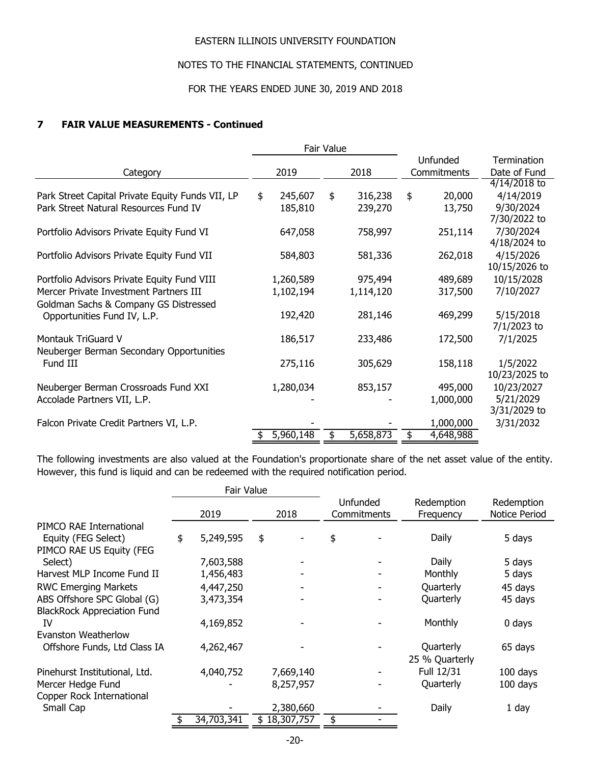# NOTES TO THE FINANCIAL STATEMENTS, CONTINUED

FOR THE YEARS ENDED JUNE 30, 2019 AND 2018

# **7 FAIR VALUE MEASUREMENTS - Continued**

|                                                  |               | Fair Value      |              |                |
|--------------------------------------------------|---------------|-----------------|--------------|----------------|
|                                                  |               |                 | Unfunded     | Termination    |
| Category                                         | 2019          | 2018            | Commitments  | Date of Fund   |
|                                                  |               |                 |              | $4/14/2018$ to |
| Park Street Capital Private Equity Funds VII, LP | \$<br>245,607 | 316,238<br>\$   | \$<br>20,000 | 4/14/2019      |
| Park Street Natural Resources Fund IV            | 185,810       | 239,270         | 13,750       | 9/30/2024      |
|                                                  |               |                 |              | 7/30/2022 to   |
| Portfolio Advisors Private Equity Fund VI        | 647,058       | 758,997         | 251,114      | 7/30/2024      |
|                                                  |               |                 |              | 4/18/2024 to   |
| Portfolio Advisors Private Equity Fund VII       | 584,803       | 581,336         | 262,018      | 4/15/2026      |
|                                                  |               |                 |              | 10/15/2026 to  |
| Portfolio Advisors Private Equity Fund VIII      | 1,260,589     | 975,494         | 489,689      | 10/15/2028     |
| Mercer Private Investment Partners III           | 1,102,194     | 1,114,120       | 317,500      | 7/10/2027      |
| Goldman Sachs & Company GS Distressed            |               |                 |              |                |
| Opportunities Fund IV, L.P.                      | 192,420       | 281,146         | 469,299      | 5/15/2018      |
|                                                  |               |                 |              | 7/1/2023 to    |
| Montauk TriGuard V                               | 186,517       | 233,486         | 172,500      | 7/1/2025       |
| Neuberger Berman Secondary Opportunities         |               |                 |              |                |
| Fund III                                         | 275,116       | 305,629         | 158,118      | 1/5/2022       |
|                                                  |               |                 |              | 10/23/2025 to  |
| Neuberger Berman Crossroads Fund XXI             | 1,280,034     | 853,157         | 495,000      | 10/23/2027     |
| Accolade Partners VII, L.P.                      |               |                 | 1,000,000    | 5/21/2029      |
|                                                  |               |                 |              | 3/31/2029 to   |
| Falcon Private Credit Partners VI, L.P.          |               |                 | 1,000,000    | 3/31/2032      |
|                                                  | 5,960,148     | 5,658,873<br>\$ | 4,648,988    |                |

The following investments are also valued at the Foundation's proportionate share of the net asset value of the entity. However, this fund is liquid and can be redeemed with the required notification period.

| Fair Value                                                                 |    |            |    |            |    |                                |                             |                             |
|----------------------------------------------------------------------------|----|------------|----|------------|----|--------------------------------|-----------------------------|-----------------------------|
|                                                                            |    | 2019       |    | 2018       |    | <b>Unfunded</b><br>Commitments | Redemption<br>Frequency     | Redemption<br>Notice Period |
| PIMCO RAE International<br>Equity (FEG Select)<br>PIMCO RAE US Equity (FEG | \$ | 5,249,595  | \$ |            | \$ |                                | Daily                       | 5 days                      |
| Select)                                                                    |    | 7,603,588  |    |            |    |                                | Daily                       | 5 days                      |
| Harvest MLP Income Fund II                                                 |    | 1,456,483  |    |            |    |                                | Monthly                     | 5 days                      |
| <b>RWC Emerging Markets</b>                                                |    | 4,447,250  |    |            |    |                                | Quarterly                   | 45 days                     |
| ABS Offshore SPC Global (G)                                                |    | 3,473,354  |    |            |    |                                | Quarterly                   | 45 days                     |
| <b>BlackRock Appreciation Fund</b><br>IV                                   |    | 4,169,852  |    |            |    |                                | Monthly                     | 0 days                      |
| Evanston Weatherlow<br>Offshore Funds, Ltd Class IA                        |    | 4,262,467  |    |            |    |                                | Quarterly<br>25 % Quarterly | 65 days                     |
| Pinehurst Institutional, Ltd.                                              |    | 4,040,752  |    | 7,669,140  |    |                                | Full 12/31                  | 100 days                    |
| Mercer Hedge Fund<br>Copper Rock International                             |    |            |    | 8,257,957  |    |                                | Quarterly                   | 100 days                    |
| Small Cap                                                                  |    |            |    | 2,380,660  |    |                                | Daily                       | $1$ day                     |
|                                                                            |    | 34,703,341 | \$ | 18,307,757 |    |                                |                             |                             |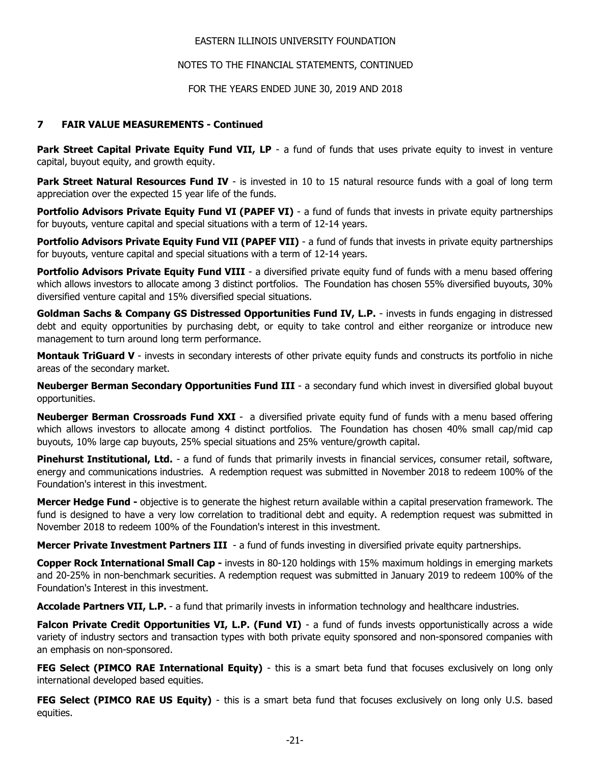#### NOTES TO THE FINANCIAL STATEMENTS, CONTINUED

FOR THE YEARS ENDED JUNE 30, 2019 AND 2018

# **7 FAIR VALUE MEASUREMENTS - Continued**

**Park Street Capital Private Equity Fund VII, LP** - a fund of funds that uses private equity to invest in venture capital, buyout equity, and growth equity.

**Park Street Natural Resources Fund IV** - is invested in 10 to 15 natural resource funds with a goal of long term appreciation over the expected 15 year life of the funds.

**Portfolio Advisors Private Equity Fund VI (PAPEF VI)** - a fund of funds that invests in private equity partnerships for buyouts, venture capital and special situations with a term of 12-14 years.

**Portfolio Advisors Private Equity Fund VII (PAPEF VII)** - a fund of funds that invests in private equity partnerships for buyouts, venture capital and special situations with a term of 12-14 years.

**Portfolio Advisors Private Equity Fund VIII** - a diversified private equity fund of funds with a menu based offering which allows investors to allocate among 3 distinct portfolios. The Foundation has chosen 55% diversified buyouts, 30% diversified venture capital and 15% diversified special situations.

**Goldman Sachs & Company GS Distressed Opportunities Fund IV, L.P.** - invests in funds engaging in distressed debt and equity opportunities by purchasing debt, or equity to take control and either reorganize or introduce new management to turn around long term performance.

**Montauk TriGuard V** - invests in secondary interests of other private equity funds and constructs its portfolio in niche areas of the secondary market.

**Neuberger Berman Secondary Opportunities Fund III** - a secondary fund which invest in diversified global buyout opportunities.

**Neuberger Berman Crossroads Fund XXI** - a diversified private equity fund of funds with a menu based offering which allows investors to allocate among 4 distinct portfolios. The Foundation has chosen 40% small cap/mid cap buyouts, 10% large cap buyouts, 25% special situations and 25% venture/growth capital.

**Pinehurst Institutional, Ltd.** - a fund of funds that primarily invests in financial services, consumer retail, software, energy and communications industries. A redemption request was submitted in November 2018 to redeem 100% of the Foundation's interest in this investment.

**Mercer Hedge Fund -** objective is to generate the highest return available within a capital preservation framework. The fund is designed to have a very low correlation to traditional debt and equity. A redemption request was submitted in November 2018 to redeem 100% of the Foundation's interest in this investment.

**Mercer Private Investment Partners III** - a fund of funds investing in diversified private equity partnerships.

**Copper Rock International Small Cap -** invests in 80-120 holdings with 15% maximum holdings in emerging markets and 20-25% in non-benchmark securities. A redemption request was submitted in January 2019 to redeem 100% of the Foundation's Interest in this investment.

**Accolade Partners VII, L.P.** - a fund that primarily invests in information technology and healthcare industries.

**Falcon Private Credit Opportunities VI, L.P. (Fund VI)** - a fund of funds invests opportunistically across a wide variety of industry sectors and transaction types with both private equity sponsored and non-sponsored companies with an emphasis on non-sponsored.

**FEG Select (PIMCO RAE International Equity)** - this is a smart beta fund that focuses exclusively on long only international developed based equities.

**FEG Select (PIMCO RAE US Equity)** - this is a smart beta fund that focuses exclusively on long only U.S. based equities.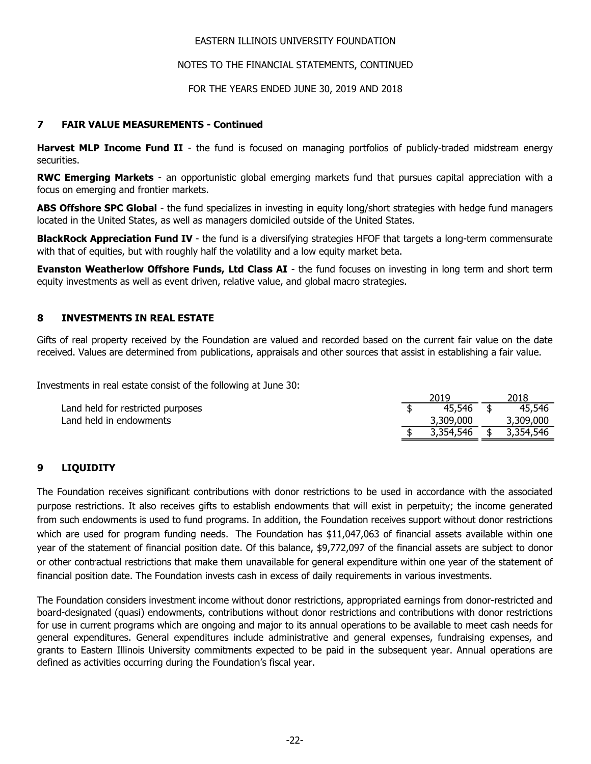#### NOTES TO THE FINANCIAL STATEMENTS, CONTINUED

FOR THE YEARS ENDED JUNE 30, 2019 AND 2018

## **7 FAIR VALUE MEASUREMENTS - Continued**

**Harvest MLP Income Fund II** - the fund is focused on managing portfolios of publicly-traded midstream energy securities.

**RWC Emerging Markets** - an opportunistic global emerging markets fund that pursues capital appreciation with a focus on emerging and frontier markets.

**ABS Offshore SPC Global** - the fund specializes in investing in equity long/short strategies with hedge fund managers located in the United States, as well as managers domiciled outside of the United States.

**BlackRock Appreciation Fund IV** - the fund is a diversifying strategies HFOF that targets a long-term commensurate with that of equities, but with roughly half the volatility and a low equity market beta.

**Evanston Weatherlow Offshore Funds, Ltd Class AI** - the fund focuses on investing in long term and short term equity investments as well as event driven, relative value, and global macro strategies.

# **8 INVESTMENTS IN REAL ESTATE**

Gifts of real property received by the Foundation are valued and recorded based on the current fair value on the date received. Values are determined from publications, appraisals and other sources that assist in establishing a fair value.

Investments in real estate consist of the following at June 30:

|                                   | 2019      | 2018      |
|-----------------------------------|-----------|-----------|
| Land held for restricted purposes | 45,546    | 45,546    |
| Land held in endowments           | 3,309,000 | 3,309,000 |
|                                   | 3,354,546 | 3,354,546 |

# **9 LIQUIDITY**

The Foundation receives significant contributions with donor restrictions to be used in accordance with the associated purpose restrictions. It also receives gifts to establish endowments that will exist in perpetuity; the income generated from such endowments is used to fund programs. In addition, the Foundation receives support without donor restrictions which are used for program funding needs. The Foundation has \$11,047,063 of financial assets available within one year of the statement of financial position date. Of this balance, \$9,772,097 of the financial assets are subject to donor or other contractual restrictions that make them unavailable for general expenditure within one year of the statement of financial position date. The Foundation invests cash in excess of daily requirements in various investments.

The Foundation considers investment income without donor restrictions, appropriated earnings from donor-restricted and board-designated (quasi) endowments, contributions without donor restrictions and contributions with donor restrictions for use in current programs which are ongoing and major to its annual operations to be available to meet cash needs for general expenditures. General expenditures include administrative and general expenses, fundraising expenses, and grants to Eastern Illinois University commitments expected to be paid in the subsequent year. Annual operations are defined as activities occurring during the Foundation's fiscal year.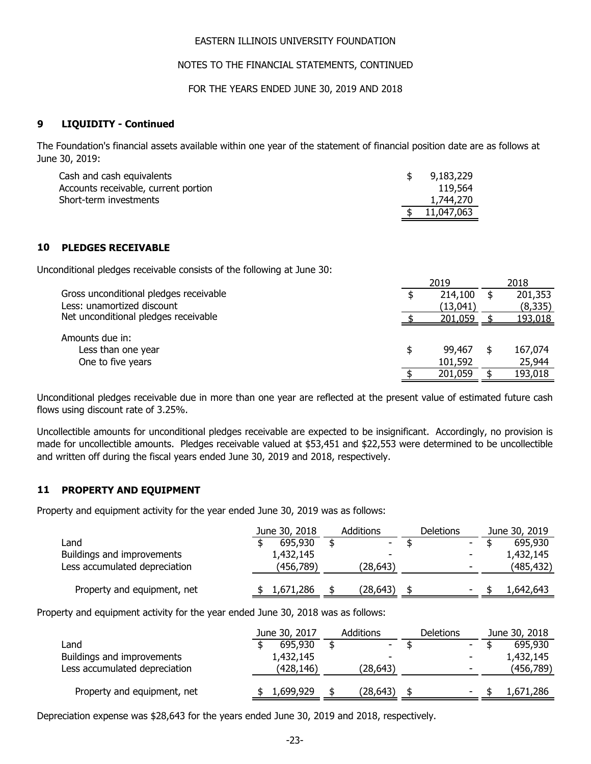#### NOTES TO THE FINANCIAL STATEMENTS, CONTINUED

FOR THE YEARS ENDED JUNE 30, 2019 AND 2018

#### **9 LIQUIDITY - Continued**

The Foundation's financial assets available within one year of the statement of financial position date are as follows at June 30, 2019:

| Cash and cash equivalents            | 9,183,229     |
|--------------------------------------|---------------|
| Accounts receivable, current portion | 119,564       |
| Short-term investments               | 1,744,270     |
|                                      | \$ 11,047,063 |

#### **10 PLEDGES RECEIVABLE**

Unconditional pledges receivable consists of the following at June 30:

|                                                            | 2019              | 2018              |
|------------------------------------------------------------|-------------------|-------------------|
| Gross unconditional pledges receivable                     | 214,100           | 201,353           |
| Less: unamortized discount                                 | (13,041)          | (8, 335)          |
| Net unconditional pledges receivable                       | 201,059           | 193,018           |
| Amounts due in:<br>Less than one year<br>One to five years | 99,467<br>101,592 | 167,074<br>25,944 |
|                                                            | 201,059           | 193,018           |

Unconditional pledges receivable due in more than one year are reflected at the present value of estimated future cash flows using discount rate of 3.25%.

Uncollectible amounts for unconditional pledges receivable are expected to be insignificant. Accordingly, no provision is made for uncollectible amounts. Pledges receivable valued at \$53,451 and \$22,553 were determined to be uncollectible and written off during the fiscal years ended June 30, 2019 and 2018, respectively.

#### **11 PROPERTY AND EQUIPMENT**

Property and equipment activity for the year ended June 30, 2019 was as follows:

|                               | June 30, 2018 | Additions |          | <b>Deletions</b> |                          | June 30, 2019 |           |
|-------------------------------|---------------|-----------|----------|------------------|--------------------------|---------------|-----------|
| Land                          | 695,930       |           | $\sim$   |                  | $\sim$                   |               | 695,930   |
| Buildings and improvements    | 1,432,145     |           |          |                  |                          |               | 1,432,145 |
| Less accumulated depreciation | (456,789)     |           | (28,643) |                  | $\overline{\phantom{0}}$ |               | (485,432) |
| Property and equipment, net   | 1,671,286     |           | (28,643) |                  |                          |               | 1,642,643 |

Property and equipment activity for the year ended June 30, 2018 was as follows:

|                               | June 30, 2017 |           | <b>Additions</b> |          | <b>Deletions</b> |   | June 30, 2018 |
|-------------------------------|---------------|-----------|------------------|----------|------------------|---|---------------|
| Land                          |               | 695,930   |                  |          |                  |   | 695,930       |
| Buildings and improvements    |               | 1,432,145 |                  |          |                  |   | 1,432,145     |
| Less accumulated depreciation |               | (428,146) |                  | (28,643) |                  | - | (456,789)     |
| Property and equipment, net   |               | 1,699,929 |                  | (28,643) |                  |   | 1,671,286     |

Depreciation expense was \$28,643 for the years ended June 30, 2019 and 2018, respectively.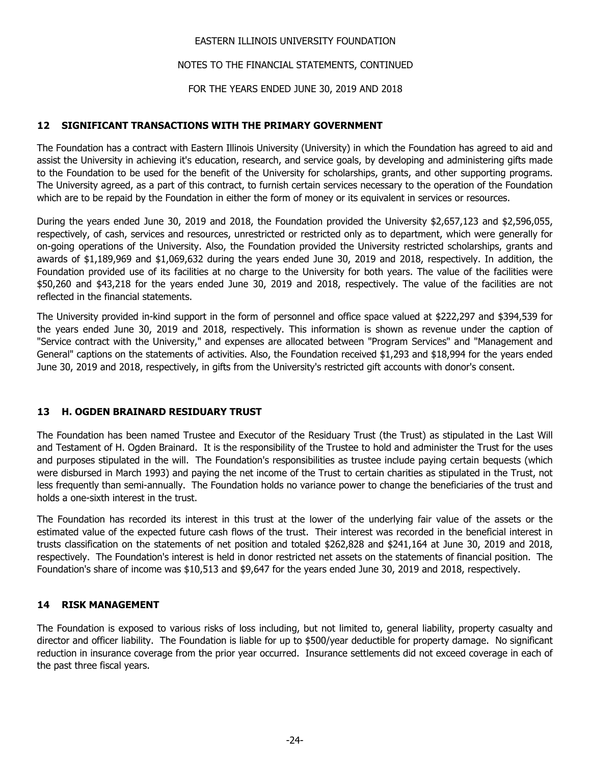### NOTES TO THE FINANCIAL STATEMENTS, CONTINUED

FOR THE YEARS ENDED JUNE 30, 2019 AND 2018

# **12 SIGNIFICANT TRANSACTIONS WITH THE PRIMARY GOVERNMENT**

The Foundation has a contract with Eastern Illinois University (University) in which the Foundation has agreed to aid and assist the University in achieving it's education, research, and service goals, by developing and administering gifts made to the Foundation to be used for the benefit of the University for scholarships, grants, and other supporting programs. The University agreed, as a part of this contract, to furnish certain services necessary to the operation of the Foundation which are to be repaid by the Foundation in either the form of money or its equivalent in services or resources.

During the years ended June 30, 2019 and 2018, the Foundation provided the University \$2,657,123 and \$2,596,055, respectively, of cash, services and resources, unrestricted or restricted only as to department, which were generally for on-going operations of the University. Also, the Foundation provided the University restricted scholarships, grants and awards of \$1,189,969 and \$1,069,632 during the years ended June 30, 2019 and 2018, respectively. In addition, the Foundation provided use of its facilities at no charge to the University for both years. The value of the facilities were \$50,260 and \$43,218 for the years ended June 30, 2019 and 2018, respectively. The value of the facilities are not reflected in the financial statements.

The University provided in-kind support in the form of personnel and office space valued at \$222,297 and \$394,539 for the years ended June 30, 2019 and 2018, respectively. This information is shown as revenue under the caption of "Service contract with the University," and expenses are allocated between "Program Services" and "Management and General" captions on the statements of activities. Also, the Foundation received \$1,293 and \$18,994 for the years ended June 30, 2019 and 2018, respectively, in gifts from the University's restricted gift accounts with donor's consent.

# **13 H. OGDEN BRAINARD RESIDUARY TRUST**

The Foundation has been named Trustee and Executor of the Residuary Trust (the Trust) as stipulated in the Last Will and Testament of H. Ogden Brainard. It is the responsibility of the Trustee to hold and administer the Trust for the uses and purposes stipulated in the will. The Foundation's responsibilities as trustee include paying certain bequests (which were disbursed in March 1993) and paying the net income of the Trust to certain charities as stipulated in the Trust, not less frequently than semi-annually. The Foundation holds no variance power to change the beneficiaries of the trust and holds a one-sixth interest in the trust.

The Foundation has recorded its interest in this trust at the lower of the underlying fair value of the assets or the estimated value of the expected future cash flows of the trust. Their interest was recorded in the beneficial interest in trusts classification on the statements of net position and totaled \$262,828 and \$241,164 at June 30, 2019 and 2018, respectively. The Foundation's interest is held in donor restricted net assets on the statements of financial position. The Foundation's share of income was \$10,513 and \$9,647 for the years ended June 30, 2019 and 2018, respectively.

# **14 RISK MANAGEMENT**

The Foundation is exposed to various risks of loss including, but not limited to, general liability, property casualty and director and officer liability. The Foundation is liable for up to \$500/year deductible for property damage. No significant reduction in insurance coverage from the prior year occurred. Insurance settlements did not exceed coverage in each of the past three fiscal years.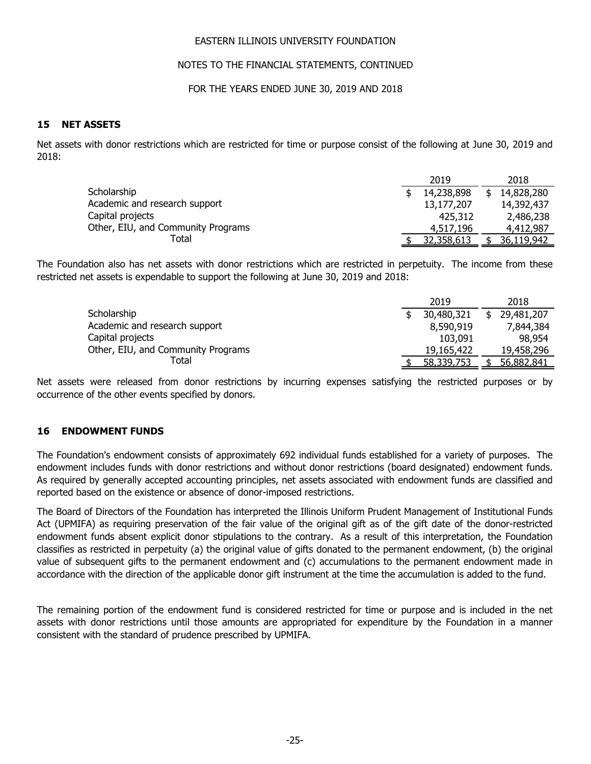#### NOTES TO THE FINANCIAL STATEMENTS, CONTINUED

#### FOR THE YEARS ENDED JUNE 30, 2019 AND 2018

#### **15 NET ASSETS**

Net assets with donor restrictions which are restricted for time or purpose consist of the following at June 30, 2019 and 2018:

|                                    | 2019       | 2018             |
|------------------------------------|------------|------------------|
| Scholarship                        | 14,238,898 | \$<br>14,828,280 |
| Academic and research support      | 13,177,207 | 14,392,437       |
| Capital projects                   | 425,312    | 2,486,238        |
| Other, EIU, and Community Programs | 4,517,196  | 4,412,987        |
| Total                              | 32,358,613 | 36,119,942       |

The Foundation also has net assets with donor restrictions which are restricted in perpetuity. The income from these restricted net assets is expendable to support the following at June 30, 2019 and 2018:

|                                    | 2019       | 2018             |
|------------------------------------|------------|------------------|
| Scholarship                        | 30,480,321 | \$<br>29,481,207 |
| Academic and research support      | 8,590,919  | 7,844,384        |
| Capital projects                   | 103,091    | 98.954           |
| Other, EIU, and Community Programs | 19,165,422 | 19,458,296       |
| Total                              | 58,339,753 | 56,882,841       |

Net assets were released from donor restrictions by incurring expenses satisfying the restricted purposes or by occurrence of the other events specified by donors.

#### **16 ENDOWMENT FUNDS**

The Foundation's endowment consists of approximately 692 individual funds established for a variety of purposes. The endowment includes funds with donor restrictions and without donor restrictions (board designated) endowment funds. As required by generally accepted accounting principles, net assets associated with endowment funds are classified and reported based on the existence or absence of donor-imposed restrictions.

The Board of Directors of the Foundation has interpreted the Illinois Uniform Prudent Management of Institutional Funds Act (UPMIFA) as requiring preservation of the fair value of the original gift as of the gift date of the donor-restricted endowment funds absent explicit donor stipulations to the contrary. As a result of this interpretation, the Foundation classifies as restricted in perpetuity (a) the original value of gifts donated to the permanent endowment, (b) the original value of subsequent gifts to the permanent endowment and (c) accumulations to the permanent endowment made in accordance with the direction of the applicable donor gift instrument at the time the accumulation is added to the fund.

The remaining portion of the endowment fund is considered restricted for time or purpose and is included in the net assets with donor restrictions until those amounts are appropriated for expenditure by the Foundation in a manner consistent with the standard of prudence prescribed by UPMIFA.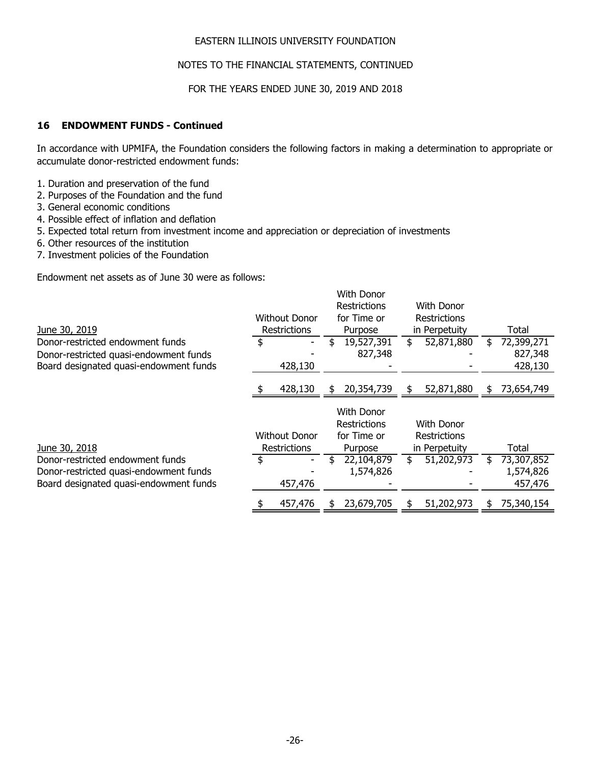#### NOTES TO THE FINANCIAL STATEMENTS, CONTINUED

FOR THE YEARS ENDED JUNE 30, 2019 AND 2018

#### **16 ENDOWMENT FUNDS - Continued**

In accordance with UPMIFA, the Foundation considers the following factors in making a determination to appropriate or accumulate donor-restricted endowment funds:

- 1. Duration and preservation of the fund
- 2. Purposes of the Foundation and the fund
- 3. General economic conditions
- 4. Possible effect of inflation and deflation
- 5. Expected total return from investment income and appreciation or depreciation of investments
- 6. Other resources of the institution
- 7. Investment policies of the Foundation

Endowment net assets as of June 30 were as follows:

| June 30, 2019                                                                    | <b>Without Donor</b><br>Restrictions | With Donor<br><b>Restrictions</b><br>for Time or<br>Purpose | With Donor<br>Restrictions<br>in Perpetuity | Total              |
|----------------------------------------------------------------------------------|--------------------------------------|-------------------------------------------------------------|---------------------------------------------|--------------------|
| Donor-restricted endowment funds                                                 |                                      | 19,527,391<br>\$                                            | 52,871,880<br>\$                            | 72,399,271<br>\$   |
| Donor-restricted quasi-endowment funds<br>Board designated quasi-endowment funds | 428,130                              | 827,348                                                     |                                             | 827,348<br>428,130 |
|                                                                                  |                                      |                                                             |                                             |                    |
|                                                                                  | 428,130                              | 20,354,739<br>\$                                            | 52,871,880<br>\$.                           | 73,654,749<br>S    |
|                                                                                  |                                      | With Donor                                                  |                                             |                    |
|                                                                                  | <b>Without Donor</b>                 | <b>Restrictions</b><br>for Time or                          | With Donor<br>Restrictions                  |                    |
| June 30, 2018                                                                    | Restrictions                         | Purpose                                                     | in Perpetuity                               | Total              |
| Donor-restricted endowment funds                                                 |                                      | 22,104,879<br>\$                                            | 51,202,973<br>\$                            | 73,307,852<br>\$   |
| Donor-restricted quasi-endowment funds                                           |                                      | 1,574,826                                                   |                                             | 1,574,826          |
| Board designated quasi-endowment funds                                           | 457,476                              |                                                             |                                             | 457,476            |
|                                                                                  | 457,476                              | 23,679,705                                                  | 51,202,973                                  | 75,340,154<br>S.   |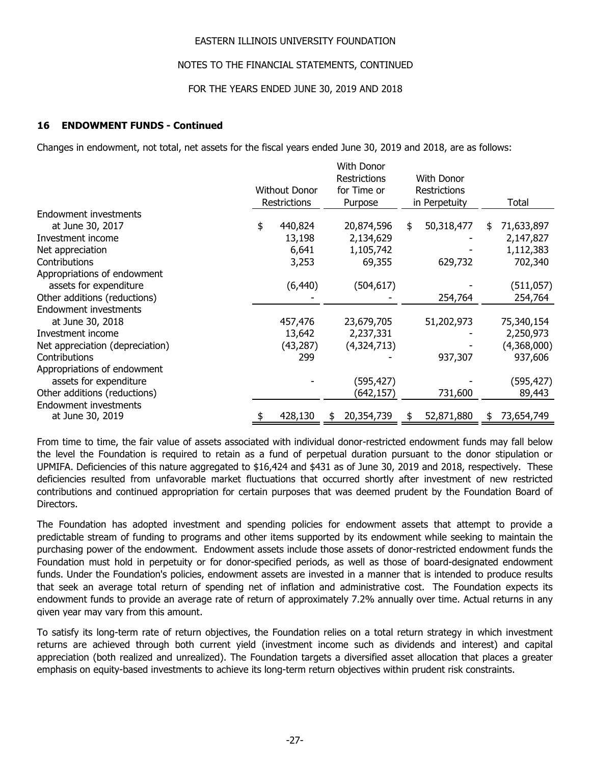#### NOTES TO THE FINANCIAL STATEMENTS, CONTINUED

#### FOR THE YEARS ENDED JUNE 30, 2019 AND 2018

#### **16 ENDOWMENT FUNDS - Continued**

Changes in endowment, not total, net assets for the fiscal years ended June 30, 2019 and 2018, are as follows:

|                                 |                      | With Donor   |                  |   |             |
|---------------------------------|----------------------|--------------|------------------|---|-------------|
|                                 |                      | Restrictions | With Donor       |   |             |
|                                 | <b>Without Donor</b> | for Time or  | Restrictions     |   |             |
|                                 | Restrictions         | Purpose      | in Perpetuity    |   | Total       |
| Endowment investments           |                      |              |                  |   |             |
| at June 30, 2017                | \$<br>440,824        | 20,874,596   | \$<br>50,318,477 | S | 71,633,897  |
| Investment income               | 13,198               | 2,134,629    |                  |   | 2,147,827   |
| Net appreciation                | 6,641                | 1,105,742    |                  |   | 1,112,383   |
| Contributions                   | 3,253                | 69,355       | 629,732          |   | 702,340     |
| Appropriations of endowment     |                      |              |                  |   |             |
| assets for expenditure          | (6, 440)             | (504, 617)   |                  |   | (511, 057)  |
| Other additions (reductions)    |                      |              | 254,764          |   | 254,764     |
| Endowment investments           |                      |              |                  |   |             |
| at June 30, 2018                | 457,476              | 23,679,705   | 51,202,973       |   | 75,340,154  |
| Investment income               | 13,642               | 2,237,331    |                  |   | 2,250,973   |
| Net appreciation (depreciation) | (43,287)             | (4,324,713)  |                  |   | (4,368,000) |
| Contributions                   | 299                  |              | 937,307          |   | 937,606     |
| Appropriations of endowment     |                      |              |                  |   |             |
| assets for expenditure          |                      | (595,427)    |                  |   | (595,427)   |
| Other additions (reductions)    |                      | (642,157)    | 731,600          |   | 89,443      |
| <b>Endowment investments</b>    |                      |              |                  |   |             |
| at June 30, 2019                | 428,130              | 20,354,739   | 52,871,880       | S | 73,654,749  |

From time to time, the fair value of assets associated with individual donor-restricted endowment funds may fall below the level the Foundation is required to retain as a fund of perpetual duration pursuant to the donor stipulation or UPMIFA. Deficiencies of this nature aggregated to \$16,424 and \$431 as of June 30, 2019 and 2018, respectively. These deficiencies resulted from unfavorable market fluctuations that occurred shortly after investment of new restricted contributions and continued appropriation for certain purposes that was deemed prudent by the Foundation Board of Directors.

The Foundation has adopted investment and spending policies for endowment assets that attempt to provide a predictable stream of funding to programs and other items supported by its endowment while seeking to maintain the purchasing power of the endowment. Endowment assets include those assets of donor-restricted endowment funds the Foundation must hold in perpetuity or for donor-specified periods, as well as those of board-designated endowment funds. Under the Foundation's policies, endowment assets are invested in a manner that is intended to produce results that seek an average total return of spending net of inflation and administrative cost. The Foundation expects its endowment funds to provide an average rate of return of approximately 7.2% annually over time. Actual returns in any given year may vary from this amount.

To satisfy its long-term rate of return objectives, the Foundation relies on a total return strategy in which investment returns are achieved through both current yield (investment income such as dividends and interest) and capital appreciation (both realized and unrealized). The Foundation targets a diversified asset allocation that places a greater emphasis on equity-based investments to achieve its long-term return objectives within prudent risk constraints.